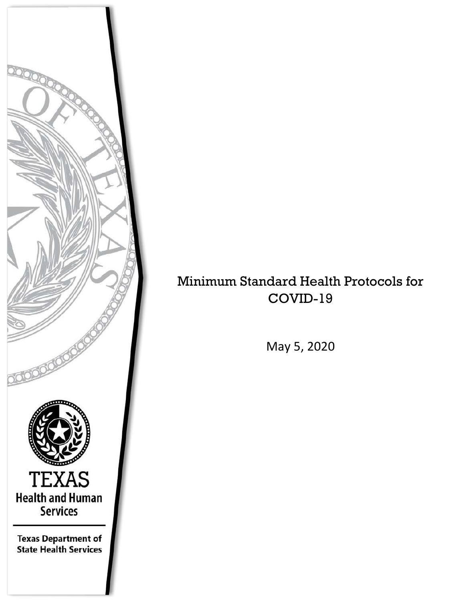

# Minimum Standard Health Protocols for COVID-19

May 5, 2020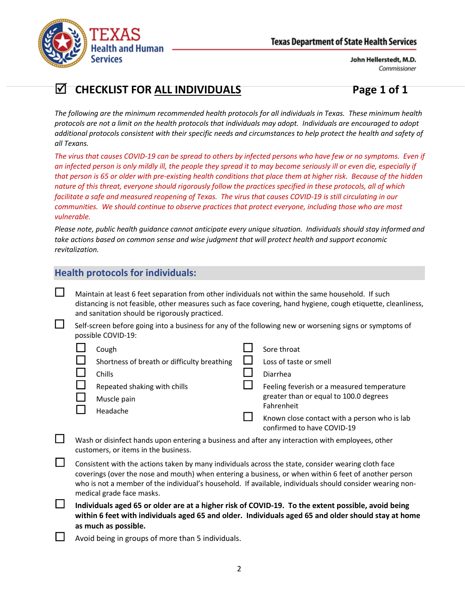

# **CHECKLIST FOR ALL INDIVIDUALS Page 1 of 1**

*The following are the minimum recommended health protocols for all individuals in Texas. These minimum health protocols are not a limit on the health protocols that individuals may adopt. Individuals are encouraged to adopt additional protocols consistent with their specific needs and circumstances to help protect the health and safety of all Texans.*

*The virus that causes COVID-19 can be spread to others by infected persons who have few or no symptoms. Even if an infected person is only mildly ill, the people they spread it to may become seriously ill or even die, especially if that person is 65 or older with pre-existing health conditions that place them at higher risk. Because of the hidden nature of this threat, everyone should rigorously follow the practices specified in these protocols, all of which*  facilitate a safe and measured reopening of Texas. The virus that causes COVID-19 is still circulating in our *communities. We should continue to observe practices that protect everyone, including those who are most vulnerable.*

*Please note, public health guidance cannot anticipate every unique situation. Individuals should stay informed and take actions based on common sense and wise judgment that will protect health and support economic revitalization.*

## **Health protocols for individuals:**

 $\Box$  Maintain at least 6 feet separation from other individuals not within the same household. If such distancing is not feasible, other measures such as face covering, hand hygiene, cough etiquette, cleanliness, and sanitation should be rigorously practiced.

 $\Box$  Self-screen before going into a business for any of the following new or worsening signs or symptoms of possible COVID-19:

| Cough                                       | Sore throat                                  |
|---------------------------------------------|----------------------------------------------|
| Shortness of breath or difficulty breathing | Loss of taste or smell                       |
| Chills                                      | Diarrhea                                     |
| Repeated shaking with chills                | Feeling feverish or a measured temperature   |
| Muscle pain                                 | greater than or equal to 100.0 degrees       |
| Headache                                    | Fahrenheit                                   |
|                                             | Known close contact with a person who is lab |
|                                             | confirmed to have COVID-19                   |

- Wash or disinfect hands upon entering a business and after any interaction with employees, other customers, or items in the business.
- $\Box$  Consistent with the actions taken by many individuals across the state, consider wearing cloth face coverings (over the nose and mouth) when entering a business, or when within 6 feet of another person who is not a member of the individual's household. If available, individuals should consider wearing nonmedical grade face masks.
- **Individuals aged 65 or older are at a higher risk of COVID-19. To the extent possible, avoid being within 6 feet with individuals aged 65 and older. Individuals aged 65 and older should stay at home as much as possible.**

Avoid being in groups of more than 5 individuals.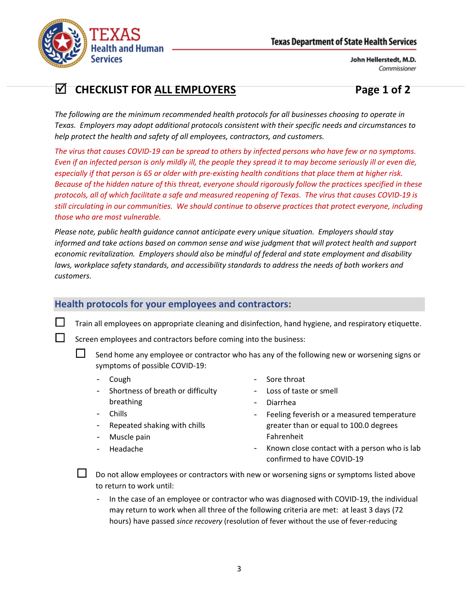

# **CHECKLIST FOR ALL EMPLOYERS Page 1 of 2**

*The following are the minimum recommended health protocols for all businesses choosing to operate in Texas. Employers may adopt additional protocols consistent with their specific needs and circumstances to help protect the health and safety of all employees, contractors, and customers.*

*The virus that causes COVID-19 can be spread to others by infected persons who have few or no symptoms. Even if an infected person is only mildly ill, the people they spread it to may become seriously ill or even die, especially if that person is 65 or older with pre-existing health conditions that place them at higher risk. Because of the hidden nature of this threat, everyone should rigorously follow the practices specified in these protocols, all of which facilitate a safe and measured reopening of Texas. The virus that causes COVID-19 is still circulating in our communities. We should continue to observe practices that protect everyone, including those who are most vulnerable.*

*Please note, public health guidance cannot anticipate every unique situation. Employers should stay informed and take actions based on common sense and wise judgment that will protect health and support economic revitalization. Employers should also be mindful of federal and state employment and disability laws, workplace safety standards, and accessibility standards to address the needs of both workers and customers.*

## **Health protocols for your employees and contractors:**

Train all employees on appropriate cleaning and disinfection, hand hygiene, and respiratory etiquette.

Screen employees and contractors before coming into the business:

 Send home any employee or contractor who has any of the following new or worsening signs or symptoms of possible COVID-19:

- Cough Sore throat
- Shortness of breath or difficulty breathing
- Loss of taste or smell
- Diarrhea

- **Chills**
- Repeated shaking with chills
- Muscle pain
- Headache
- Feeling feverish or a measured temperature greater than or equal to 100.0 degrees Fahrenheit
- Known close contact with a person who is lab confirmed to have COVID-19

 Do not allow employees or contractors with new or worsening signs or symptoms listed above to return to work until:

In the case of an employee or contractor who was diagnosed with COVID-19, the individual may return to work when all three of the following criteria are met: at least 3 days (72 hours) have passed *since recovery* (resolution of fever without the use of fever-reducing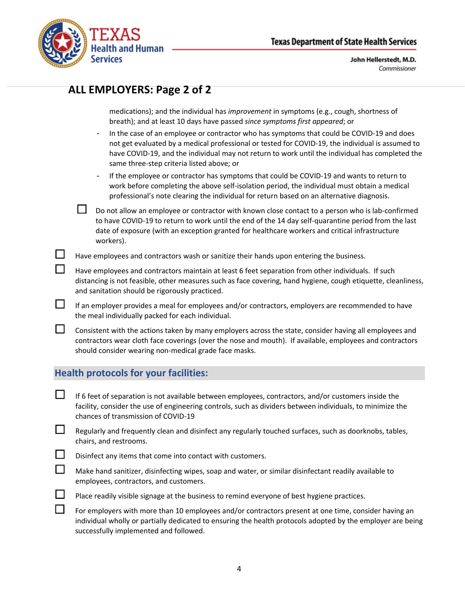

|                             | ALL EMPLOYERS: Page 2 of 2                                                                                                                                                                                                                                                                                                                                                                                                                                                                                                                   |
|-----------------------------|----------------------------------------------------------------------------------------------------------------------------------------------------------------------------------------------------------------------------------------------------------------------------------------------------------------------------------------------------------------------------------------------------------------------------------------------------------------------------------------------------------------------------------------------|
|                             | medications); and the individual has improvement in symptoms (e.g., cough, shortness of<br>breath); and at least 10 days have passed since symptoms first appeared; or<br>In the case of an employee or contractor who has symptoms that could be COVID-19 and does<br>$\qquad \qquad -$<br>not get evaluated by a medical professional or tested for COVID-19, the individual is assumed to<br>have COVID-19, and the individual may not return to work until the individual has completed the<br>same three-step criteria listed above; or |
|                             | If the employee or contractor has symptoms that could be COVID-19 and wants to return to<br>$\qquad \qquad -$<br>work before completing the above self-isolation period, the individual must obtain a medical<br>professional's note clearing the individual for return based on an alternative diagnosis.                                                                                                                                                                                                                                   |
|                             | Do not allow an employee or contractor with known close contact to a person who is lab-confirmed<br>to have COVID-19 to return to work until the end of the 14 day self-quarantine period from the last<br>date of exposure (with an exception granted for healthcare workers and critical infrastructure<br>workers).                                                                                                                                                                                                                       |
|                             | Have employees and contractors wash or sanitize their hands upon entering the business.                                                                                                                                                                                                                                                                                                                                                                                                                                                      |
|                             | Have employees and contractors maintain at least 6 feet separation from other individuals. If such<br>distancing is not feasible, other measures such as face covering, hand hygiene, cough etiquette, cleanliness,<br>and sanitation should be rigorously practiced.                                                                                                                                                                                                                                                                        |
| $\Box$                      | If an employer provides a meal for employees and/or contractors, employers are recommended to have<br>the meal individually packed for each individual.                                                                                                                                                                                                                                                                                                                                                                                      |
| $\mathcal{C}^{\mathcal{A}}$ | Consistent with the actions taken by many employers across the state, consider having all employees and<br>contractors wear cloth face coverings (over the nose and mouth). If available, employees and contractors<br>should consider wearing non-medical grade face masks.                                                                                                                                                                                                                                                                 |
|                             | <b>Health protocols for your facilities:</b>                                                                                                                                                                                                                                                                                                                                                                                                                                                                                                 |
|                             | If 6 feet of separation is not available between employees, contractors, and/or customers inside the<br>facility, consider the use of engineering controls, such as dividers between individuals, to minimize the<br>chances of transmission of COVID-19                                                                                                                                                                                                                                                                                     |
|                             | Regularly and frequently clean and disinfect any regularly touched surfaces, such as doorknobs, tables,<br>chairs, and restrooms.                                                                                                                                                                                                                                                                                                                                                                                                            |
|                             | Disinfect any items that come into contact with customers.                                                                                                                                                                                                                                                                                                                                                                                                                                                                                   |
|                             | Make hand sanitizer, disinfecting wipes, soap and water, or similar disinfectant readily available to<br>employees, contractors, and customers.                                                                                                                                                                                                                                                                                                                                                                                              |
|                             | Place readily visible signage at the business to remind everyone of best hygiene practices.                                                                                                                                                                                                                                                                                                                                                                                                                                                  |
|                             | For employers with more than 10 employees and/or contractors present at one time, consider having an<br>individual wholly or partially dedicated to ensuring the health protocols adopted by the employer are being<br>successfully implemented and followed.                                                                                                                                                                                                                                                                                |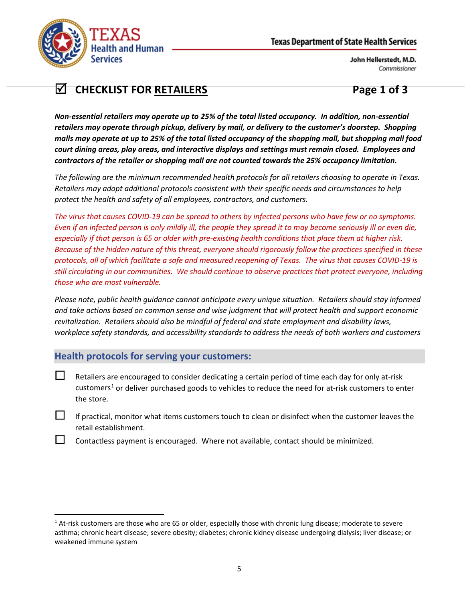

# **CHECKLIST FOR RETAILERS Page 1 of 3**

*Non-essential retailers may operate up to 25% of the total listed occupancy. In addition, non-essential retailers may operate through pickup, delivery by mail, or delivery to the customer's doorstep. Shopping malls may operate at up to 25% of the total listed occupancy of the shopping mall, but shopping mall food court dining areas, play areas, and interactive displays and settings must remain closed. Employees and contractors of the retailer or shopping mall are not counted towards the 25% occupancy limitation.*

*The following are the minimum recommended health protocols for all retailers choosing to operate in Texas. Retailers may adopt additional protocols consistent with their specific needs and circumstances to help protect the health and safety of all employees, contractors, and customers.*

*The virus that causes COVID-19 can be spread to others by infected persons who have few or no symptoms. Even if an infected person is only mildly ill, the people they spread it to may become seriously ill or even die, especially if that person is 65 or older with pre-existing health conditions that place them at higher risk. Because of the hidden nature of this threat, everyone should rigorously follow the practices specified in these protocols, all of which facilitate a safe and measured reopening of Texas. The virus that causes COVID-19 is still circulating in our communities. We should continue to observe practices that protect everyone, including those who are most vulnerable.*

*Please note, public health guidance cannot anticipate every unique situation. Retailers should stay informed and take actions based on common sense and wise judgment that will protect health and support economic revitalization. Retailers should also be mindful of federal and state employment and disability laws, workplace safety standards, and accessibility standards to address the needs of both workers and customers*

## **Health protocols for serving your customers:**

- $\Box$  Retailers are encouraged to consider dedicating a certain period of time each day for only at-risk customers<sup>[1](#page-4-0)</sup> or deliver purchased goods to vehicles to reduce the need for at-risk customers to enter the store.
- If practical, monitor what items customers touch to clean or disinfect when the customer leaves the retail establishment.
	- Contactless payment is encouraged. Where not available, contact should be minimized.

<span id="page-4-0"></span> $1$  At-risk customers are those who are 65 or older, especially those with chronic lung disease; moderate to severe asthma; chronic heart disease; severe obesity; diabetes; chronic kidney disease undergoing dialysis; liver disease; or weakened immune system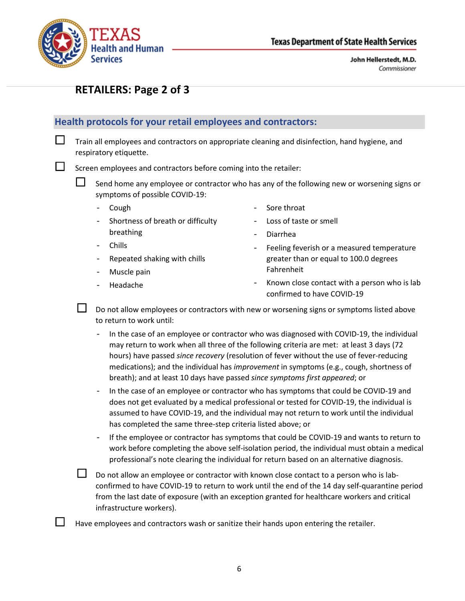

# **RETAILERS: Page 2 of 3**

## **Health protocols for your retail employees and contractors:**

 $\Box$  Train all employees and contractors on appropriate cleaning and disinfection, hand hygiene, and respiratory etiquette.

Screen employees and contractors before coming into the retailer:

 $\Box$  Send home any employee or contractor who has any of the following new or worsening signs or symptoms of possible COVID-19:

- Cough
- Shortness of breath or difficulty breathing
- Sore throat
- Loss of taste or smell

Fahrenheit

- Diarrhea

- Chills
- Repeated shaking with chills
- Muscle pain
- Headache

Known close contact with a person who is lab confirmed to have COVID-19

Feeling feverish or a measured temperature greater than or equal to 100.0 degrees

 Do not allow employees or contractors with new or worsening signs or symptoms listed above to return to work until:

- In the case of an employee or contractor who was diagnosed with COVID-19, the individual may return to work when all three of the following criteria are met: at least 3 days (72 hours) have passed *since recovery* (resolution of fever without the use of fever-reducing medications); and the individual has *improvement* in symptoms (e.g., cough, shortness of breath); and at least 10 days have passed *since symptoms first appeared*; or
- In the case of an employee or contractor who has symptoms that could be COVID-19 and does not get evaluated by a medical professional or tested for COVID-19, the individual is assumed to have COVID-19, and the individual may not return to work until the individual has completed the same three-step criteria listed above; or
- If the employee or contractor has symptoms that could be COVID-19 and wants to return to work before completing the above self-isolation period, the individual must obtain a medical professional's note clearing the individual for return based on an alternative diagnosis.

 Do not allow an employee or contractor with known close contact to a person who is labconfirmed to have COVID-19 to return to work until the end of the 14 day self-quarantine period from the last date of exposure (with an exception granted for healthcare workers and critical infrastructure workers).

Have employees and contractors wash or sanitize their hands upon entering the retailer.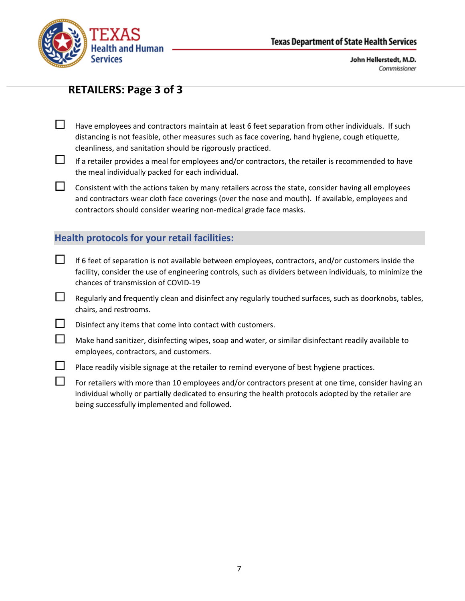

## **RETAILERS: Page 3 of 3**

- $\Box$  Have employees and contractors maintain at least 6 feet separation from other individuals. If such distancing is not feasible, other measures such as face covering, hand hygiene, cough etiquette, cleanliness, and sanitation should be rigorously practiced.
- $\Box$  If a retailer provides a meal for employees and/or contractors, the retailer is recommended to have the meal individually packed for each individual.
- $\Box$  Consistent with the actions taken by many retailers across the state, consider having all employees and contractors wear cloth face coverings (over the nose and mouth). If available, employees and contractors should consider wearing non-medical grade face masks.

## **Health protocols for your retail facilities:**

- $\Box$  If 6 feet of separation is not available between employees, contractors, and/or customers inside the facility, consider the use of engineering controls, such as dividers between individuals, to minimize the chances of transmission of COVID-19
- $\Box$  Regularly and frequently clean and disinfect any regularly touched surfaces, such as doorknobs, tables, chairs, and restrooms.
- $\Box$  Disinfect any items that come into contact with customers.
- $\Box$  Make hand sanitizer, disinfecting wipes, soap and water, or similar disinfectant readily available to employees, contractors, and customers.
- $\Box$  Place readily visible signage at the retailer to remind everyone of best hygiene practices.
- $\Box$  For retailers with more than 10 employees and/or contractors present at one time, consider having an individual wholly or partially dedicated to ensuring the health protocols adopted by the retailer are being successfully implemented and followed.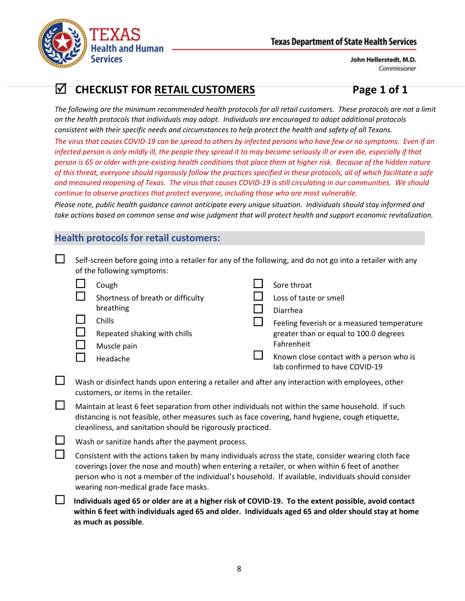

# **CHECKLIST FOR RETAIL CUSTOMERS Page 1 of 1**

*The following are the minimum recommended health protocols for all retail customers. These protocols are not a limit on the health protocols that individuals may adopt. Individuals are encouraged to adopt additional protocols consistent with their specific needs and circumstances to help protect the health and safety of all Texans.*

*The virus that causes COVID-19 can be spread to others by infected persons who have few or no symptoms. Even if an infected person is only mildly ill, the people they spread it to may become seriously ill or even die, especially if that person is 65 or older with pre-existing health conditions that place them at higher risk. Because of the hidden nature of this threat, everyone should rigorously follow the practices specified in these protocols, all of which facilitate a safe and measured reopening of Texas. The virus that causes COVID-19 is still circulating in our communities. We should continue to observe practices that protect everyone, including those who are most vulnerable.*

*Please note, public health guidance cannot anticipate every unique situation. Individuals should stay informed and take actions based on common sense and wise judgment that will protect health and support economic revitalization.*

## **Health protocols for retail customers:**

|        | Self-screen before going into a retailer for any of the following, and do not go into a retailer with any<br>of the following symptoms: |                                                                                                                                                                                                                                                                                                                                                       |  |                                                                                                                                                                                  |
|--------|-----------------------------------------------------------------------------------------------------------------------------------------|-------------------------------------------------------------------------------------------------------------------------------------------------------------------------------------------------------------------------------------------------------------------------------------------------------------------------------------------------------|--|----------------------------------------------------------------------------------------------------------------------------------------------------------------------------------|
|        |                                                                                                                                         | Cough<br>Shortness of breath or difficulty<br>breathing                                                                                                                                                                                                                                                                                               |  | Sore throat<br>Loss of taste or smell<br>Diarrhea                                                                                                                                |
|        |                                                                                                                                         | Chills<br>Repeated shaking with chills<br>Muscle pain<br>Headache                                                                                                                                                                                                                                                                                     |  | Feeling feverish or a measured temperature<br>greater than or equal to 100.0 degrees<br>Fahrenheit<br>Known close contact with a person who is<br>lab confirmed to have COVID-19 |
| $\Box$ |                                                                                                                                         | Wash or disinfect hands upon entering a retailer and after any interaction with employees, other<br>customers, or items in the retailer.                                                                                                                                                                                                              |  |                                                                                                                                                                                  |
| $\Box$ |                                                                                                                                         | Maintain at least 6 feet separation from other individuals not within the same household. If such<br>distancing is not feasible, other measures such as face covering, hand hygiene, cough etiquette,<br>cleanliness, and sanitation should be rigorously practiced.                                                                                  |  |                                                                                                                                                                                  |
| $\Box$ |                                                                                                                                         | Wash or sanitize hands after the payment process.                                                                                                                                                                                                                                                                                                     |  |                                                                                                                                                                                  |
| $\Box$ |                                                                                                                                         | Consistent with the actions taken by many individuals across the state, consider wearing cloth face<br>coverings (over the nose and mouth) when entering a retailer, or when within 6 feet of another<br>person who is not a member of the individual's household. If available, individuals should consider<br>wearing non-medical grade face masks. |  |                                                                                                                                                                                  |
| $\Box$ |                                                                                                                                         | Individuals aged 65 or older are at a higher risk of COVID-19. To the extent possible, avoid contact<br>within 6 feet with individuals aged 65 and older. Individuals aged 65 and older should stay at home<br>as much as possible.                                                                                                                   |  |                                                                                                                                                                                  |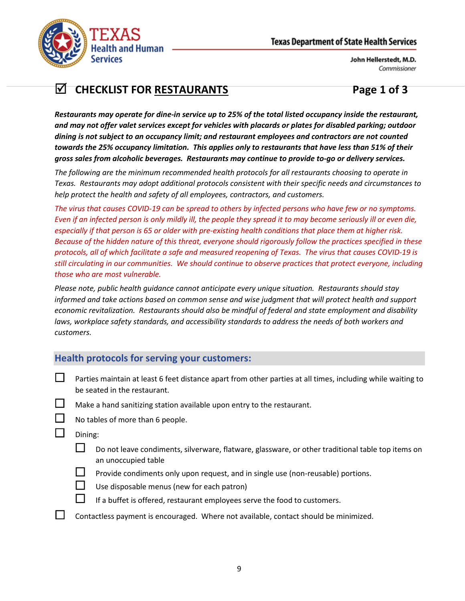

# **CHECKLIST FOR RESTAURANTS** Page 1 of 3

*Restaurants may operate for dine-in service up to 25% of the total listed occupancy inside the restaurant, and may not offer valet services except for vehicles with placards or plates for disabled parking; outdoor dining is not subject to an occupancy limit; and restaurant employees and contractors are not counted towards the 25% occupancy limitation. This applies only to restaurants that have less than 51% of their gross sales from alcoholic beverages. Restaurants may continue to provide to-go or delivery services.*

*The following are the minimum recommended health protocols for all restaurants choosing to operate in Texas. Restaurants may adopt additional protocols consistent with their specific needs and circumstances to help protect the health and safety of all employees, contractors, and customers.*

*The virus that causes COVID-19 can be spread to others by infected persons who have few or no symptoms. Even if an infected person is only mildly ill, the people they spread it to may become seriously ill or even die, especially if that person is 65 or older with pre-existing health conditions that place them at higher risk. Because of the hidden nature of this threat, everyone should rigorously follow the practices specified in these protocols, all of which facilitate a safe and measured reopening of Texas. The virus that causes COVID-19 is still circulating in our communities. We should continue to observe practices that protect everyone, including those who are most vulnerable.*

*Please note, public health guidance cannot anticipate every unique situation. Restaurants should stay informed and take actions based on common sense and wise judgment that will protect health and support economic revitalization. Restaurants should also be mindful of federal and state employment and disability laws, workplace safety standards, and accessibility standards to address the needs of both workers and customers.*

## **Health protocols for serving your customers:**

- **Parties maintain at least 6 feet distance apart from other parties at all times, including while waiting to** be seated in the restaurant.
- $\Box$  Make a hand sanitizing station available upon entry to the restaurant.
	- No tables of more than 6 people.
- $\Box$  Dining:
	- Do not leave condiments, silverware, flatware, glassware, or other traditional table top items on an unoccupied table
	- $\Box$  Provide condiments only upon request, and in single use (non-reusable) portions.
		- Use disposable menus (new for each patron)
		- If a buffet is offered, restaurant employees serve the food to customers.
	- Contactless payment is encouraged. Where not available, contact should be minimized.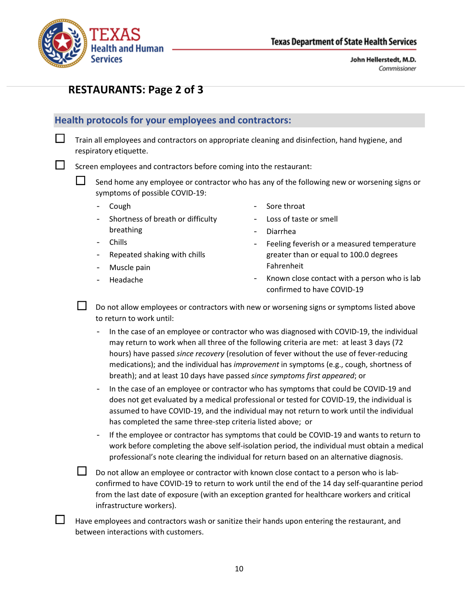

## **RESTAURANTS: Page 2 of 3**

### **Health protocols for your employees and contractors:**

 $\Box$  Train all employees and contractors on appropriate cleaning and disinfection, hand hygiene, and respiratory etiquette.

Screen employees and contractors before coming into the restaurant:

 $\Box$  Send home any employee or contractor who has any of the following new or worsening signs or symptoms of possible COVID-19:

- Cough
	- Shortness of breath or difficulty breathing
- Sore throat

Fahrenheit

- Loss of taste or smell
- Diarrhea

- Chills
- Repeated shaking with chills
- Muscle pain
- Headache

Known close contact with a person who is lab confirmed to have COVID-19

Feeling feverish or a measured temperature greater than or equal to 100.0 degrees

 Do not allow employees or contractors with new or worsening signs or symptoms listed above to return to work until:

In the case of an employee or contractor who was diagnosed with COVID-19, the individual may return to work when all three of the following criteria are met: at least 3 days (72 hours) have passed *since recovery* (resolution of fever without the use of fever-reducing medications); and the individual has *improvement* in symptoms (e.g., cough, shortness of breath); and at least 10 days have passed *since symptoms first appeared*; or

- In the case of an employee or contractor who has symptoms that could be COVID-19 and does not get evaluated by a medical professional or tested for COVID-19, the individual is assumed to have COVID-19, and the individual may not return to work until the individual has completed the same three-step criteria listed above; or

- If the employee or contractor has symptoms that could be COVID-19 and wants to return to work before completing the above self-isolation period, the individual must obtain a medical professional's note clearing the individual for return based on an alternative diagnosis.

 Do not allow an employee or contractor with known close contact to a person who is labconfirmed to have COVID-19 to return to work until the end of the 14 day self-quarantine period from the last date of exposure (with an exception granted for healthcare workers and critical infrastructure workers).

 Have employees and contractors wash or sanitize their hands upon entering the restaurant, and between interactions with customers.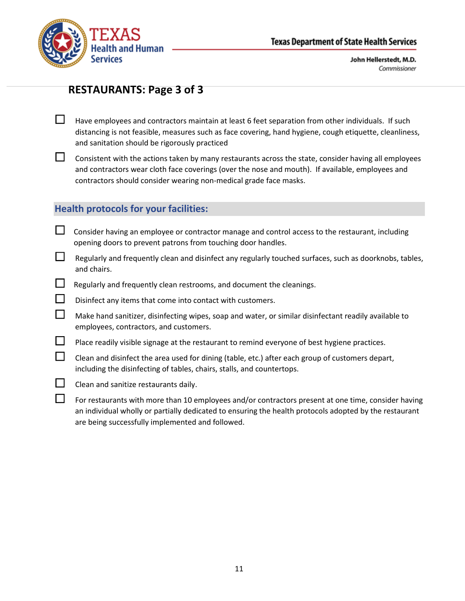



## **RESTAURANTS: Page 3 of 3**

- $\Box$  Have employees and contractors maintain at least 6 feet separation from other individuals. If such distancing is not feasible, measures such as face covering, hand hygiene, cough etiquette, cleanliness, and sanitation should be rigorously practiced
- $\Box$  Consistent with the actions taken by many restaurants across the state, consider having all employees and contractors wear cloth face coverings (over the nose and mouth). If available, employees and contractors should consider wearing non-medical grade face masks.

#### **Health protocols for your facilities:**

- $\Box$  Consider having an employee or contractor manage and control access to the restaurant, including opening doors to prevent patrons from touching door handles.
- $\Box$  Regularly and frequently clean and disinfect any regularly touched surfaces, such as doorknobs, tables, and chairs.
- $\Box$  Regularly and frequently clean restrooms, and document the cleanings.
- $\square$  Disinfect any items that come into contact with customers.
- $\Box$  Make hand sanitizer, disinfecting wipes, soap and water, or similar disinfectant readily available to employees, contractors, and customers.
- $\Box$  Place readily visible signage at the restaurant to remind everyone of best hygiene practices.
- $\Box$  Clean and disinfect the area used for dining (table, etc.) after each group of customers depart, including the disinfecting of tables, chairs, stalls, and countertops.
- $\Box$  Clean and sanitize restaurants daily.
- $\Box$  For restaurants with more than 10 employees and/or contractors present at one time, consider having an individual wholly or partially dedicated to ensuring the health protocols adopted by the restaurant are being successfully implemented and followed.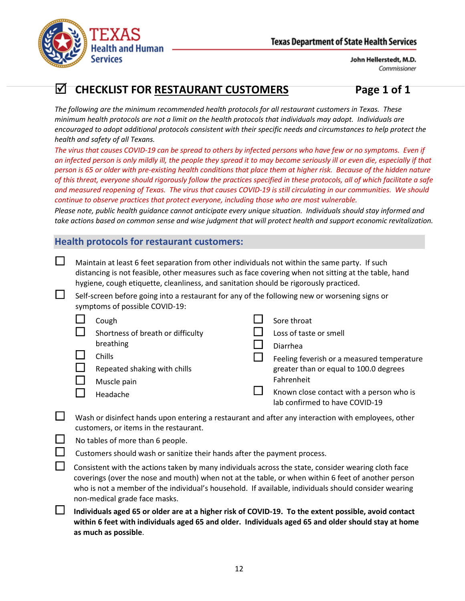

# **CHECKLIST FOR RESTAURANT CUSTOMERS Page 1 of 1**

*The following are the minimum recommended health protocols for all restaurant customers in Texas. These minimum health protocols are not a limit on the health protocols that individuals may adopt. Individuals are encouraged to adopt additional protocols consistent with their specific needs and circumstances to help protect the health and safety of all Texans.*

*The virus that causes COVID-19 can be spread to others by infected persons who have few or no symptoms. Even if an infected person is only mildly ill, the people they spread it to may become seriously ill or even die, especially if that person is 65 or older with pre-existing health conditions that place them at higher risk. Because of the hidden nature of this threat, everyone should rigorously follow the practices specified in these protocols, all of which facilitate a safe and measured reopening of Texas. The virus that causes COVID-19 is still circulating in our communities. We should continue to observe practices that protect everyone, including those who are most vulnerable.*

*Please note, public health guidance cannot anticipate every unique situation. Individuals should stay informed and take actions based on common sense and wise judgment that will protect health and support economic revitalization.*

### **Health protocols for restaurant customers:**

- $\Box$  Maintain at least 6 feet separation from other individuals not within the same party. If such distancing is not feasible, other measures such as face covering when not sitting at the table, hand hygiene, cough etiquette, cleanliness, and sanitation should be rigorously practiced.
	- Self-screen before going into a restaurant for any of the following new or worsening signs or symptoms of possible COVID-19:

| Cough                             | Sore throat                                                                |
|-----------------------------------|----------------------------------------------------------------------------|
| Shortness of breath or difficulty | Loss of taste or smell                                                     |
| breathing                         | <b>Diarrhea</b>                                                            |
| Chills                            | Feeling feverish or a measured temperature                                 |
| Repeated shaking with chills      | greater than or equal to 100.0 degrees                                     |
| Muscle pain                       | Fahrenheit                                                                 |
| Headache                          | Known close contact with a person who is<br>lab confirmed to have COVID-19 |

- $\Box$  Wash or disinfect hands upon entering a restaurant and after any interaction with employees, other customers, or items in the restaurant.
- $\Box$  No tables of more than 6 people.
	- Customers should wash or sanitize their hands after the payment process.
	- Consistent with the actions taken by many individuals across the state, consider wearing cloth face coverings (over the nose and mouth) when not at the table, or when within 6 feet of another person who is not a member of the individual's household. If available, individuals should consider wearing non-medical grade face masks.
- **Individuals aged 65 or older are at a higher risk of COVID-19. To the extent possible, avoid contact within 6 feet with individuals aged 65 and older. Individuals aged 65 and older should stay at home as much as possible**.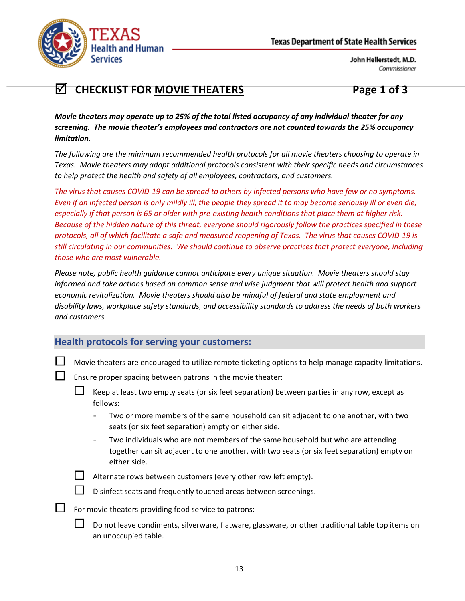

# **CHECKLIST FOR MOVIE THEATERS Page 1 of 3**

*Movie theaters may operate up to 25% of the total listed occupancy of any individual theater for any screening. The movie theater's employees and contractors are not counted towards the 25% occupancy limitation.*

*The following are the minimum recommended health protocols for all movie theaters choosing to operate in Texas. Movie theaters may adopt additional protocols consistent with their specific needs and circumstances to help protect the health and safety of all employees, contractors, and customers.*

*The virus that causes COVID-19 can be spread to others by infected persons who have few or no symptoms. Even if an infected person is only mildly ill, the people they spread it to may become seriously ill or even die, especially if that person is 65 or older with pre-existing health conditions that place them at higher risk. Because of the hidden nature of this threat, everyone should rigorously follow the practices specified in these protocols, all of which facilitate a safe and measured reopening of Texas. The virus that causes COVID-19 is still circulating in our communities. We should continue to observe practices that protect everyone, including those who are most vulnerable.*

*Please note, public health guidance cannot anticipate every unique situation. Movie theaters should stay informed and take actions based on common sense and wise judgment that will protect health and support economic revitalization. Movie theaters should also be mindful of federal and state employment and disability laws, workplace safety standards, and accessibility standards to address the needs of both workers and customers.*

## **Health protocols for serving your customers:**

- $\Box$  Movie theaters are encouraged to utilize remote ticketing options to help manage capacity limitations.
- $\Box$  Ensure proper spacing between patrons in the movie theater:
	- Keep at least two empty seats (or six feet separation) between parties in any row, except as follows:
		- Two or more members of the same household can sit adjacent to one another, with two seats (or six feet separation) empty on either side.
		- Two individuals who are not members of the same household but who are attending together can sit adjacent to one another, with two seats (or six feet separation) empty on either side.



Alternate rows between customers (every other row left empty).



- For movie theaters providing food service to patrons:
	- Do not leave condiments, silverware, flatware, glassware, or other traditional table top items on an unoccupied table.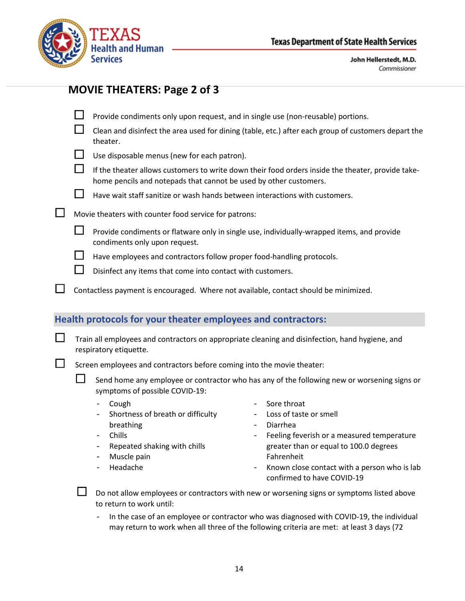

## **MOVIE THEATERS: Page 2 of 3**

|  | $\Box$ Provide condiments only upon request, and in single use (non-reusable) portions. |  |  |  |
|--|-----------------------------------------------------------------------------------------|--|--|--|
|--|-----------------------------------------------------------------------------------------|--|--|--|

 $\Box$  Clean and disinfect the area used for dining (table, etc.) after each group of customers depart the theater.

|  | $\Box$ Use disposable menus (new for each patron). |  |  |  |
|--|----------------------------------------------------|--|--|--|
|--|----------------------------------------------------|--|--|--|

 $\Box$  If the theater allows customers to write down their food orders inside the theater, provide takehome pencils and notepads that cannot be used by other customers.



- $\Box$  Movie theaters with counter food service for patrons:
	- **Provide condiments or flatware only in single use, individually-wrapped items, and provide** condiments only upon request.
	- $\Box$  Have employees and contractors follow proper food-handling protocols.
	- $\Box$  Disinfect any items that come into contact with customers.
- $\Box$  Contactless payment is encouraged. Where not available, contact should be minimized.

## **Health protocols for your theater employees and contractors:**

 $\Box$  Train all employees and contractors on appropriate cleaning and disinfection, hand hygiene, and respiratory etiquette.

Screen employees and contractors before coming into the movie theater:

 Send home any employee or contractor who has any of the following new or worsening signs or symptoms of possible COVID-19:

- Cough
- Shortness of breath or difficulty breathing
- Chills
- Repeated shaking with chills
- Muscle pain
- Headache
- Sore throat
- Loss of taste or smell
- Diarrhea
- Feeling feverish or a measured temperature greater than or equal to 100.0 degrees Fahrenheit
- Known close contact with a person who is lab confirmed to have COVID-19

In the case of an employee or contractor who was diagnosed with COVID-19, the individual may return to work when all three of the following criteria are met: at least 3 days (72

Do not allow employees or contractors with new or worsening signs or symptoms listed above to return to work until: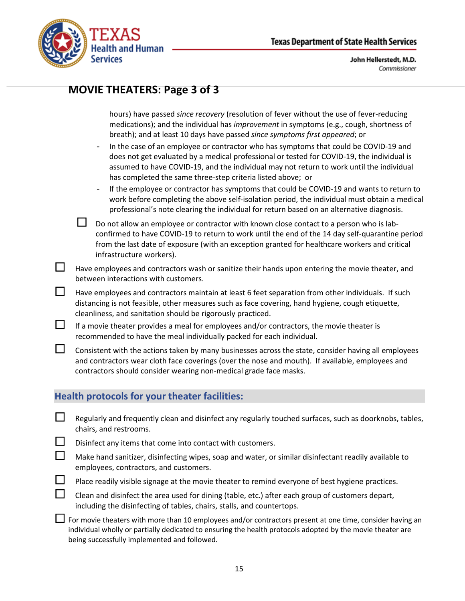

## **MOVIE THEATERS: Page 3 of 3**

hours) have passed *since recovery* (resolution of fever without the use of fever-reducing medications); and the individual has *improvement* in symptoms (e.g., cough, shortness of breath); and at least 10 days have passed *since symptoms first appeared*; or

- In the case of an employee or contractor who has symptoms that could be COVID-19 and does not get evaluated by a medical professional or tested for COVID-19, the individual is assumed to have COVID-19, and the individual may not return to work until the individual has completed the same three-step criteria listed above; or
- If the employee or contractor has symptoms that could be COVID-19 and wants to return to work before completing the above self-isolation period, the individual must obtain a medical professional's note clearing the individual for return based on an alternative diagnosis.

 Do not allow an employee or contractor with known close contact to a person who is labconfirmed to have COVID-19 to return to work until the end of the 14 day self-quarantine period from the last date of exposure (with an exception granted for healthcare workers and critical infrastructure workers).

 $\Box$  Have employees and contractors wash or sanitize their hands upon entering the movie theater, and between interactions with customers.

 $\Box$  Have employees and contractors maintain at least 6 feet separation from other individuals. If such distancing is not feasible, other measures such as face covering, hand hygiene, cough etiquette, cleanliness, and sanitation should be rigorously practiced.

 $\Box$  If a movie theater provides a meal for employees and/or contractors, the movie theater is recommended to have the meal individually packed for each individual.

 $\Box$  Consistent with the actions taken by many businesses across the state, consider having all employees and contractors wear cloth face coverings (over the nose and mouth). If available, employees and contractors should consider wearing non-medical grade face masks.

## **Health protocols for your theater facilities:**

 $\Box$  Regularly and frequently clean and disinfect any regularly touched surfaces, such as doorknobs, tables, chairs, and restrooms.

 $\square$  Disinfect any items that come into contact with customers.

- $\Box$  Make hand sanitizer, disinfecting wipes, soap and water, or similar disinfectant readily available to employees, contractors, and customers.
- Place readily visible signage at the movie theater to remind everyone of best hygiene practices.

 Clean and disinfect the area used for dining (table, etc.) after each group of customers depart, including the disinfecting of tables, chairs, stalls, and countertops.

For movie theaters with more than 10 employees and/or contractors present at one time, consider having an individual wholly or partially dedicated to ensuring the health protocols adopted by the movie theater are being successfully implemented and followed.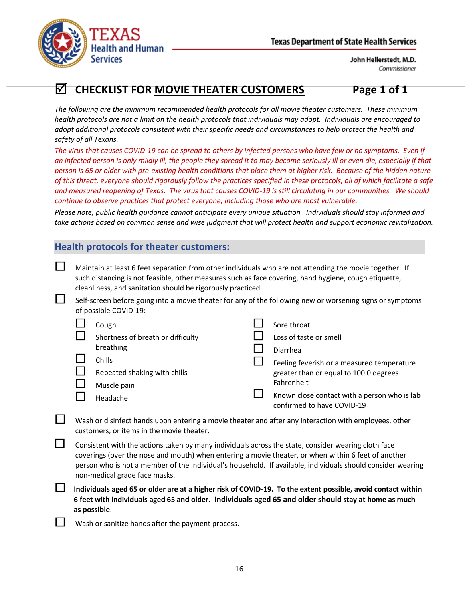

# **CHECKLIST FOR MOVIE THEATER CUSTOMERS Page 1 of 1**

*The following are the minimum recommended health protocols for all movie theater customers. These minimum health protocols are not a limit on the health protocols that individuals may adopt. Individuals are encouraged to adopt additional protocols consistent with their specific needs and circumstances to help protect the health and safety of all Texans.*

*The virus that causes COVID-19 can be spread to others by infected persons who have few or no symptoms. Even if an infected person is only mildly ill, the people they spread it to may become seriously ill or even die, especially if that person is 65 or older with pre-existing health conditions that place them at higher risk. Because of the hidden nature of this threat, everyone should rigorously follow the practices specified in these protocols, all of which facilitate a safe and measured reopening of Texas. The virus that causes COVID-19 is still circulating in our communities. We should continue to observe practices that protect everyone, including those who are most vulnerable.*

*Please note, public health guidance cannot anticipate every unique situation. Individuals should stay informed and take actions based on common sense and wise judgment that will protect health and support economic revitalization.*

## **Health protocols for theater customers:**

| $\mathbf{I}$ | Maintain at least 6 feet separation from other individuals who are not attending the movie together. If |
|--------------|---------------------------------------------------------------------------------------------------------|
|              | such distancing is not feasible, other measures such as face covering, hand hygiene, cough etiquette,   |
|              | cleanliness, and sanitation should be rigorously practiced.                                             |

| Self-screen before going into a movie theater for any of the following new or worsening signs or symptoms |
|-----------------------------------------------------------------------------------------------------------|
| of possible COVID-19:                                                                                     |

| Cough                             | Sore throat                                                                |
|-----------------------------------|----------------------------------------------------------------------------|
| Shortness of breath or difficulty | Loss of taste or smell                                                     |
| breathing                         | Diarrhea                                                                   |
| Chills                            | Feeling feverish or a measured temperature                                 |
| Repeated shaking with chills      | greater than or equal to 100.0 degrees                                     |
| Muscle pain                       | Fahrenheit                                                                 |
| Headache                          | Known close contact with a person who is lab<br>confirmed to have COVID-19 |

 $\Box$  Wash or disinfect hands upon entering a movie theater and after any interaction with employees, other customers, or items in the movie theater.

 $\Box$  Consistent with the actions taken by many individuals across the state, consider wearing cloth face coverings (over the nose and mouth) when entering a movie theater, or when within 6 feet of another person who is not a member of the individual's household. If available, individuals should consider wearing non-medical grade face masks.

 **Individuals aged 65 or older are at a higher risk of COVID-19. To the extent possible, avoid contact within 6 feet with individuals aged 65 and older. Individuals aged 65 and older should stay at home as much as possible**.

Wash or sanitize hands after the payment process.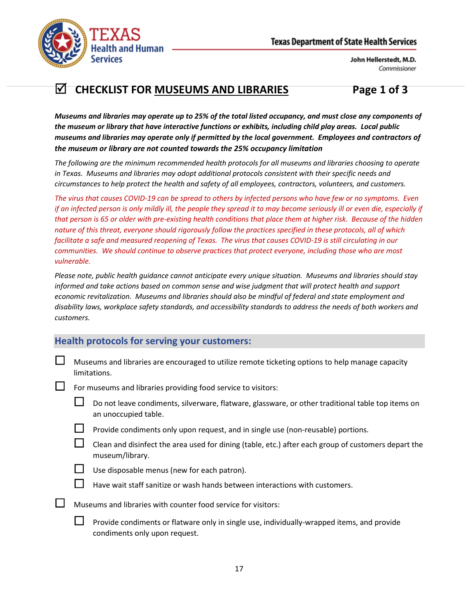



# **CHECKLIST FOR MUSEUMS AND LIBRARIES Page 1 of 3**

*Museums and libraries may operate up to 25% of the total listed occupancy, and must close any components of the museum or library that have interactive functions or exhibits, including child play areas. Local public museums and libraries may operate only if permitted by the local government. Employees and contractors of the museum or library are not counted towards the 25% occupancy limitation*

*The following are the minimum recommended health protocols for all museums and libraries choosing to operate in Texas. Museums and libraries may adopt additional protocols consistent with their specific needs and circumstances to help protect the health and safety of all employees, contractors, volunteers, and customers.*

*The virus that causes COVID-19 can be spread to others by infected persons who have few or no symptoms. Even if an infected person is only mildly ill, the people they spread it to may become seriously ill or even die, especially if that person is 65 or older with pre-existing health conditions that place them at higher risk. Because of the hidden nature of this threat, everyone should rigorously follow the practices specified in these protocols, all of which facilitate a safe and measured reopening of Texas. The virus that causes COVID-19 is still circulating in our communities. We should continue to observe practices that protect everyone, including those who are most vulnerable.*

*Please note, public health guidance cannot anticipate every unique situation. Museums and libraries should stay informed and take actions based on common sense and wise judgment that will protect health and support economic revitalization. Museums and libraries should also be mindful of federal and state employment and disability laws, workplace safety standards, and accessibility standards to address the needs of both workers and customers.*

## **Health protocols for serving your customers:**

 $\Box$  Museums and libraries are encouraged to utilize remote ticketing options to help manage capacity limitations.

For museums and libraries providing food service to visitors:

| $\Box$ Do not leave condiments, silverware, flatware, glassware, or other traditional table top items on |
|----------------------------------------------------------------------------------------------------------|
| an unoccupied table.                                                                                     |

- Provide condiments only upon request, and in single use (non-reusable) portions.
- Clean and disinfect the area used for dining (table, etc.) after each group of customers depart the museum/library.



Use disposable menus (new for each patron).



Have wait staff sanitize or wash hands between interactions with customers.

- $\Box$  Museums and libraries with counter food service for visitors:
	- $\Box$  Provide condiments or flatware only in single use, individually-wrapped items, and provide condiments only upon request.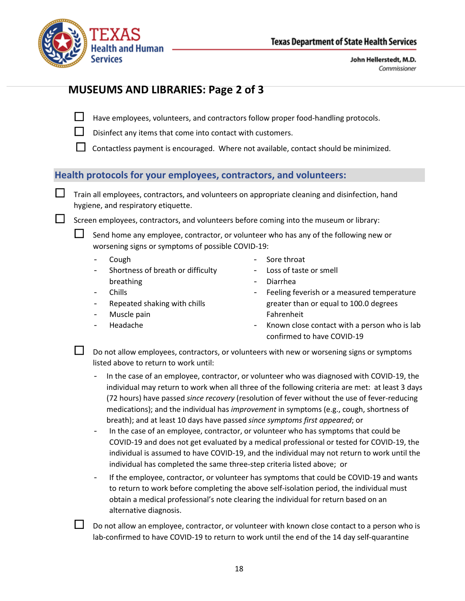

## **MUSEUMS AND LIBRARIES: Page 2 of 3**

 $\Box$  Have employees, volunteers, and contractors follow proper food-handling protocols.

 $\Box$  Disinfect any items that come into contact with customers.

Contactless payment is encouraged. Where not available, contact should be minimized.

## **Health protocols for your employees, contractors, and volunteers:**

**Train all employees, contractors, and volunteers on appropriate cleaning and disinfection, hand** hygiene, and respiratory etiquette.

 $\square$  Screen employees, contractors, and volunteers before coming into the museum or library:

 Send home any employee, contractor, or volunteer who has any of the following new or worsening signs or symptoms of possible COVID-19:

- Cough
- Shortness of breath or difficulty breathing
- Chills
- Repeated shaking with chills
- Muscle pain
- Headache
- Sore throat
- Loss of taste or smell
- Diarrhea
- Feeling feverish or a measured temperature greater than or equal to 100.0 degrees Fahrenheit
- Known close contact with a person who is lab confirmed to have COVID-19

 $\Box$  Do not allow employees, contractors, or volunteers with new or worsening signs or symptoms listed above to return to work until:

- In the case of an employee, contractor, or volunteer who was diagnosed with COVID-19, the individual may return to work when all three of the following criteria are met: at least 3 days (72 hours) have passed *since recovery* (resolution of fever without the use of fever-reducing medications); and the individual has *improvement* in symptoms (e.g., cough, shortness of breath); and at least 10 days have passed *since symptoms first appeared*; or
- In the case of an employee, contractor, or volunteer who has symptoms that could be COVID-19 and does not get evaluated by a medical professional or tested for COVID-19, the individual is assumed to have COVID-19, and the individual may not return to work until the individual has completed the same three-step criteria listed above; or
- If the employee, contractor, or volunteer has symptoms that could be COVID-19 and wants to return to work before completing the above self-isolation period, the individual must obtain a medical professional's note clearing the individual for return based on an alternative diagnosis.

 Do not allow an employee, contractor, or volunteer with known close contact to a person who is lab-confirmed to have COVID-19 to return to work until the end of the 14 day self-quarantine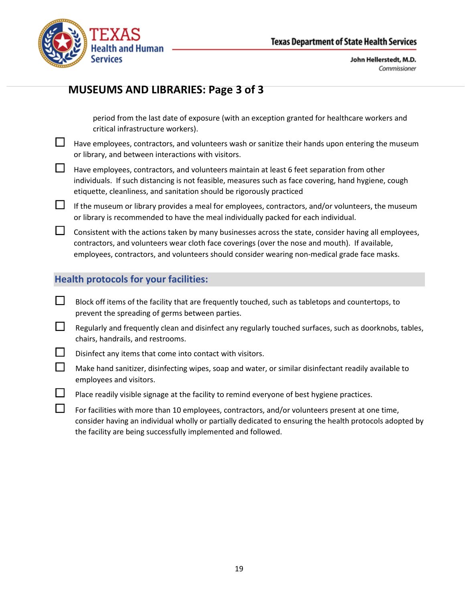

# **MUSEUMS AND LIBRARIES: Page 3 of 3**

period from the last date of exposure (with an exception granted for healthcare workers and critical infrastructure workers).

- $\Box$  Have employees, contractors, and volunteers wash or sanitize their hands upon entering the museum or library, and between interactions with visitors.
- $\Box$  Have employees, contractors, and volunteers maintain at least 6 feet separation from other individuals. If such distancing is not feasible, measures such as face covering, hand hygiene, cough etiquette, cleanliness, and sanitation should be rigorously practiced
- $\Box$  If the museum or library provides a meal for employees, contractors, and/or volunteers, the museum or library is recommended to have the meal individually packed for each individual.

 $\Box$  Consistent with the actions taken by many businesses across the state, consider having all employees, contractors, and volunteers wear cloth face coverings (over the nose and mouth). If available, employees, contractors, and volunteers should consider wearing non-medical grade face masks.

## **Health protocols for your facilities:**

- $\Box$  Block off items of the facility that are frequently touched, such as tabletops and countertops, to prevent the spreading of germs between parties.
- $\Box$  Regularly and frequently clean and disinfect any regularly touched surfaces, such as doorknobs, tables, chairs, handrails, and restrooms.
- $\Box$  Disinfect any items that come into contact with visitors.
- $\Box$  Make hand sanitizer, disinfecting wipes, soap and water, or similar disinfectant readily available to employees and visitors.
- $\Box$  Place readily visible signage at the facility to remind everyone of best hygiene practices.
- $\Box$  For facilities with more than 10 employees, contractors, and/or volunteers present at one time, consider having an individual wholly or partially dedicated to ensuring the health protocols adopted by the facility are being successfully implemented and followed.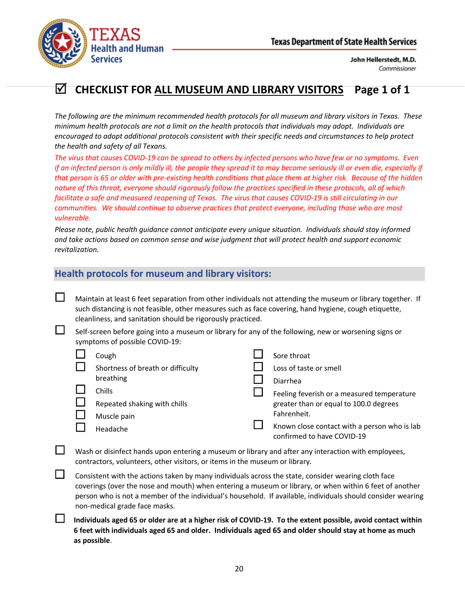

# **CHECKLIST FOR ALL MUSEUM AND LIBRARY VISITORS Page 1 of 1**

*The following are the minimum recommended health protocols for all museum and library visitors in Texas. These minimum health protocols are not a limit on the health protocols that individuals may adopt. Individuals are encouraged to adopt additional protocols consistent with their specific needs and circumstances to help protect the health and safety of all Texans.*

*The virus that causes COVID-19 can be spread to others by infected persons who have few or no symptoms. Even if an infected person is only mildly ill, the people they spread it to may become seriously ill or even die, especially if that person is 65 or older with pre-existing health conditions that place them at higher risk. Because of the hidden nature of this threat, everyone should rigorously follow the practices specified in these protocols, all of which facilitate a safe and measured reopening of Texas. The virus that causes COVID-19 is still circulating in our communities. We should continue to observe practices that protect everyone, including those who are most vulnerable.*

*Please note, public health guidance cannot anticipate every unique situation. Individuals should stay informed and take actions based on common sense and wise judgment that will protect health and support economic revitalization.*

#### **Health protocols for museum and library visitors:**

 $\Box$  Maintain at least 6 feet separation from other individuals not attending the museum or library together. If such distancing is not feasible, other measures such as face covering, hand hygiene, cough etiquette, cleanliness, and sanitation should be rigorously practiced.

 Self-screen before going into a museum or library for any of the following, new or worsening signs or symptoms of possible COVID-19:

| Cough                             | Sore throat                                                                |
|-----------------------------------|----------------------------------------------------------------------------|
| Shortness of breath or difficulty | Loss of taste or smell                                                     |
| breathing                         | Diarrhea                                                                   |
| Chills                            | Feeling feverish or a measured temperature                                 |
| Repeated shaking with chills      | greater than or equal to 100.0 degrees                                     |
| Muscle pain                       | Fahrenheit.                                                                |
| Headache                          | Known close contact with a person who is lab<br>confirmed to have COVID-19 |

- Wash or disinfect hands upon entering a museum or library and after any interaction with employees, contractors, volunteers, other visitors, or items in the museum or library.
- $\Box$  Consistent with the actions taken by many individuals across the state, consider wearing cloth face coverings (over the nose and mouth) when entering a museum or library, or when within 6 feet of another person who is not a member of the individual's household. If available, individuals should consider wearing non-medical grade face masks.
	- **Individuals aged 65 or older are at a higher risk of COVID-19. To the extent possible, avoid contact within 6 feet with individuals aged 65 and older. Individuals aged 65 and older should stay at home as much as possible**.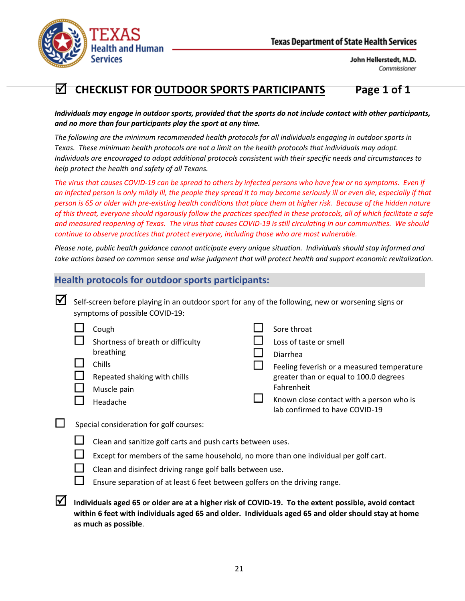

# **CHECKLIST FOR OUTDOOR SPORTS PARTICIPANTS Page 1 of 1**

*Individuals may engage in outdoor sports, provided that the sports do not include contact with other participants, and no more than four participants play the sport at any time.* 

*The following are the minimum recommended health protocols for all individuals engaging in outdoor sports in Texas. These minimum health protocols are not a limit on the health protocols that individuals may adopt. Individuals are encouraged to adopt additional protocols consistent with their specific needs and circumstances to help protect the health and safety of all Texans.*

*The virus that causes COVID-19 can be spread to others by infected persons who have few or no symptoms. Even if an infected person is only mildly ill, the people they spread it to may become seriously ill or even die, especially if that person is 65 or older with pre-existing health conditions that place them at higher risk. Because of the hidden nature of this threat, everyone should rigorously follow the practices specified in these protocols, all of which facilitate a safe and measured reopening of Texas. The virus that causes COVID-19 is still circulating in our communities. We should continue to observe practices that protect everyone, including those who are most vulnerable.*

*Please note, public health guidance cannot anticipate every unique situation. Individuals should stay informed and take actions based on common sense and wise judgment that will protect health and support economic revitalization.*

#### **Health protocols for outdoor sports participants:**

| $\blacksquare$ Self-screen before playing in an outdoor sport for any of the following, new or worsening signs or |
|-------------------------------------------------------------------------------------------------------------------|
| symptoms of possible COVID-19:                                                                                    |

| Cough                             | Sore throat                                                                |
|-----------------------------------|----------------------------------------------------------------------------|
| Shortness of breath or difficulty | Loss of taste or smell                                                     |
| breathing                         | Diarrhea                                                                   |
| Chills                            | Feeling feverish or a measured temperature                                 |
| Repeated shaking with chills      | greater than or equal to 100.0 degrees                                     |
| Muscle pain                       | Fahrenheit                                                                 |
| Headache                          | Known close contact with a person who is<br>lab confirmed to have COVID-19 |

- $\Box$  Special consideration for golf courses:
	- Clean and sanitize golf carts and push carts between uses.
	- Except for members of the same household, no more than one individual per golf cart.
	- Clean and disinfect driving range golf balls between use.
	- Ensure separation of at least 6 feet between golfers on the driving range.
- **Individuals aged 65 or older are at a higher risk of COVID-19. To the extent possible, avoid contact within 6 feet with individuals aged 65 and older. Individuals aged 65 and older should stay at home as much as possible**.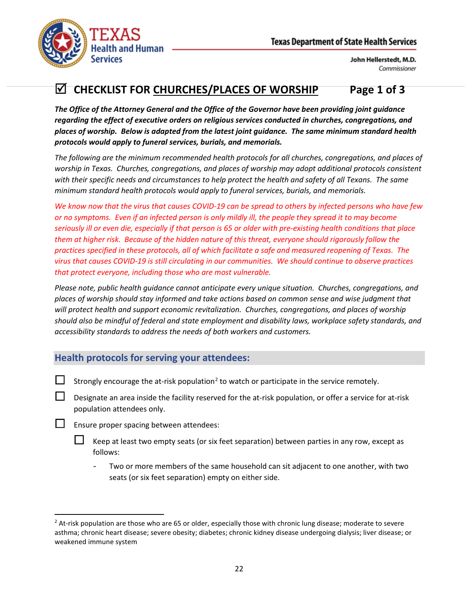

# **CHECKLIST FOR CHURCHES/PLACES OF WORSHIP Page 1 of 3**

*The Office of the Attorney General and the Office of the Governor have been providing joint guidance regarding the effect of executive orders on religious services conducted in churches, congregations, and places of worship. Below is adapted from the latest joint guidance. The same minimum standard health protocols would apply to funeral services, burials, and memorials.*

*The following are the minimum recommended health protocols for all churches, congregations, and places of worship in Texas. Churches, congregations, and places of worship may adopt additional protocols consistent with their specific needs and circumstances to help protect the health and safety of all Texans. The same minimum standard health protocols would apply to funeral services, burials, and memorials.*

*We know now that the virus that causes COVID-19 can be spread to others by infected persons who have few or no symptoms. Even if an infected person is only mildly ill, the people they spread it to may become seriously ill or even die, especially if that person is 65 or older with pre-existing health conditions that place them at higher risk. Because of the hidden nature of this threat, everyone should rigorously follow the practices specified in these protocols, all of which facilitate a safe and measured reopening of Texas. The virus that causes COVID-19 is still circulating in our communities. We should continue to observe practices that protect everyone, including those who are most vulnerable.*

*Please note, public health guidance cannot anticipate every unique situation. Churches, congregations, and places of worship should stay informed and take actions based on common sense and wise judgment that will protect health and support economic revitalization. Churches, congregations, and places of worship should also be mindful of federal and state employment and disability laws, workplace safety standards, and accessibility standards to address the needs of both workers and customers.*

## **Health protocols for serving your attendees:**

- Strongly encourage the at-risk population<sup>[2](#page-21-0)</sup> to watch or participate in the service remotely.
- Designate an area inside the facility reserved for the at-risk population, or offer a service for at-risk population attendees only.
- **L** Ensure proper spacing between attendees:
	- $\Box$  Keep at least two empty seats (or six feet separation) between parties in any row, except as follows:
		- Two or more members of the same household can sit adjacent to one another, with two seats (or six feet separation) empty on either side.

<span id="page-21-0"></span><sup>&</sup>lt;sup>2</sup> At-risk population are those who are 65 or older, especially those with chronic lung disease; moderate to severe asthma; chronic heart disease; severe obesity; diabetes; chronic kidney disease undergoing dialysis; liver disease; or weakened immune system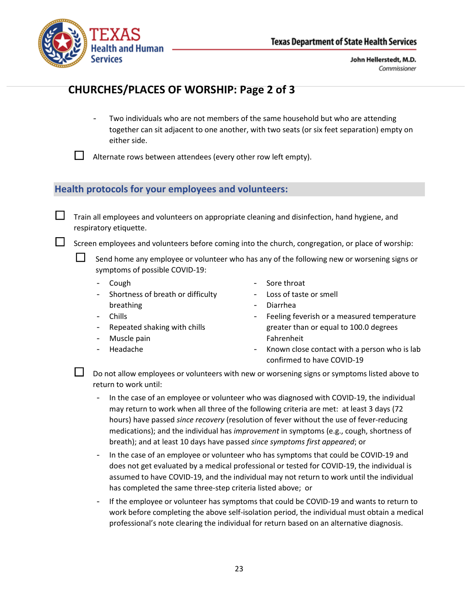

# **CHURCHES/PLACES OF WORSHIP: Page 2 of 3**

Two individuals who are not members of the same household but who are attending together can sit adjacent to one another, with two seats (or six feet separation) empty on either side.

 $\Box$  Alternate rows between attendees (every other row left empty).

### **Health protocols for your employees and volunteers:**

**Train all employees and volunteers on appropriate cleaning and disinfection, hand hygiene, and** respiratory etiquette.

 $\Box$  Screen employees and volunteers before coming into the church, congregation, or place of worship:

 $\Box$  Send home any employee or volunteer who has any of the following new or worsening signs or symptoms of possible COVID-19:

- Cough

- Chills

Shortness of breath or difficulty breathing

Repeated shaking with chills

- Sore throat
- Loss of taste or smell
- Diarrhea
- Feeling feverish or a measured temperature greater than or equal to 100.0 degrees Fahrenheit
- Muscle pain
- Headache

Known close contact with a person who is lab confirmed to have COVID-19

 Do not allow employees or volunteers with new or worsening signs or symptoms listed above to return to work until:

- In the case of an employee or volunteer who was diagnosed with COVID-19, the individual may return to work when all three of the following criteria are met: at least 3 days (72 hours) have passed *since recovery* (resolution of fever without the use of fever-reducing medications); and the individual has *improvement* in symptoms (e.g., cough, shortness of breath); and at least 10 days have passed *since symptoms first appeared*; or
- In the case of an employee or volunteer who has symptoms that could be COVID-19 and does not get evaluated by a medical professional or tested for COVID-19, the individual is assumed to have COVID-19, and the individual may not return to work until the individual has completed the same three-step criteria listed above; or
- If the employee or volunteer has symptoms that could be COVID-19 and wants to return to work before completing the above self-isolation period, the individual must obtain a medical professional's note clearing the individual for return based on an alternative diagnosis.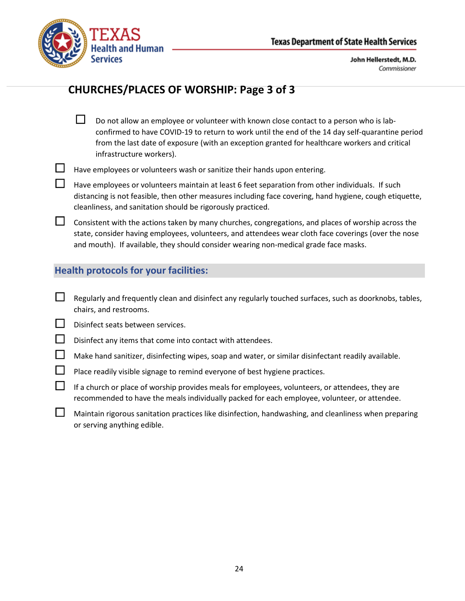

# **CHURCHES/PLACES OF WORSHIP: Page 3 of 3**

- $\square$  Do not allow an employee or volunteer with known close contact to a person who is labconfirmed to have COVID-19 to return to work until the end of the 14 day self-quarantine period from the last date of exposure (with an exception granted for healthcare workers and critical infrastructure workers).
- Have employees or volunteers wash or sanitize their hands upon entering.
- $\Box$  Have employees or volunteers maintain at least 6 feet separation from other individuals. If such distancing is not feasible, then other measures including face covering, hand hygiene, cough etiquette, cleanliness, and sanitation should be rigorously practiced.
- $\Box$  Consistent with the actions taken by many churches, congregations, and places of worship across the state, consider having employees, volunteers, and attendees wear cloth face coverings (over the nose and mouth). If available, they should consider wearing non-medical grade face masks.

### **Health protocols for your facilities:**

- $\Box$  Regularly and frequently clean and disinfect any regularly touched surfaces, such as doorknobs, tables, chairs, and restrooms.
- $\Box$  Disinfect seats between services.
- $\Box$  Disinfect any items that come into contact with attendees.
- $\Box$  Make hand sanitizer, disinfecting wipes, soap and water, or similar disinfectant readily available.
	- Place readily visible signage to remind everyone of best hygiene practices.
- $\Box$  If a church or place of worship provides meals for employees, volunteers, or attendees, they are recommended to have the meals individually packed for each employee, volunteer, or attendee.
	- Maintain rigorous sanitation practices like disinfection, handwashing, and cleanliness when preparing or serving anything edible.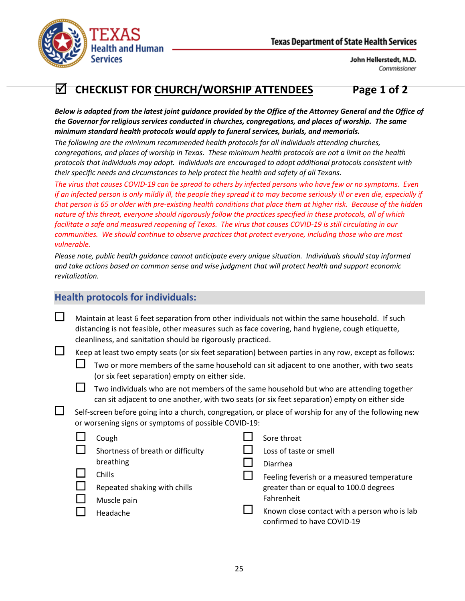

# **CHECKLIST FOR CHURCH/WORSHIP ATTENDEES Page 1 of 2**

*Below is adapted from the latest joint guidance provided by the Office of the Attorney General and the Office of the Governor for religious services conducted in churches, congregations, and places of worship. The same minimum standard health protocols would apply to funeral services, burials, and memorials.*

*The following are the minimum recommended health protocols for all individuals attending churches, congregations, and places of worship in Texas. These minimum health protocols are not a limit on the health protocols that individuals may adopt. Individuals are encouraged to adopt additional protocols consistent with their specific needs and circumstances to help protect the health and safety of all Texans.*

*The virus that causes COVID-19 can be spread to others by infected persons who have few or no symptoms. Even if an infected person is only mildly ill, the people they spread it to may become seriously ill or even die, especially if that person is 65 or older with pre-existing health conditions that place them at higher risk. Because of the hidden nature of this threat, everyone should rigorously follow the practices specified in these protocols, all of which facilitate a safe and measured reopening of Texas. The virus that causes COVID-19 is still circulating in our communities. We should continue to observe practices that protect everyone, including those who are most vulnerable.*

*Please note, public health guidance cannot anticipate every unique situation. Individuals should stay informed and take actions based on common sense and wise judgment that will protect health and support economic revitalization.*

## **Health protocols for individuals:**

| Maintain at least 6 feet separation from other individuals not within the same household. If such |
|---------------------------------------------------------------------------------------------------|
| distancing is not feasible, other measures such as face covering, hand hygiene, cough etiquette,  |
| cleanliness, and sanitation should be rigorously practiced.                                       |

Keep at least two empty seats (or six feet separation) between parties in any row, except as follows:

- Two or more members of the same household can sit adjacent to one another, with two seats (or six feet separation) empty on either side.
- Two individuals who are not members of the same household but who are attending together can sit adjacent to one another, with two seats (or six feet separation) empty on either side
- Self-screen before going into a church, congregation, or place of worship for any of the following new or worsening signs or symptoms of possible COVID-19:

| Cough                             | Sore throat                                                                |
|-----------------------------------|----------------------------------------------------------------------------|
| Shortness of breath or difficulty | Loss of taste or smell                                                     |
| breathing                         | Diarrhea                                                                   |
| <b>Chills</b>                     | Feeling feverish or a measured temperature                                 |
| Repeated shaking with chills      | greater than or equal to 100.0 degrees                                     |
| Muscle pain                       | Fahrenheit                                                                 |
| Headache                          | Known close contact with a person who is lab<br>confirmed to have COVID-19 |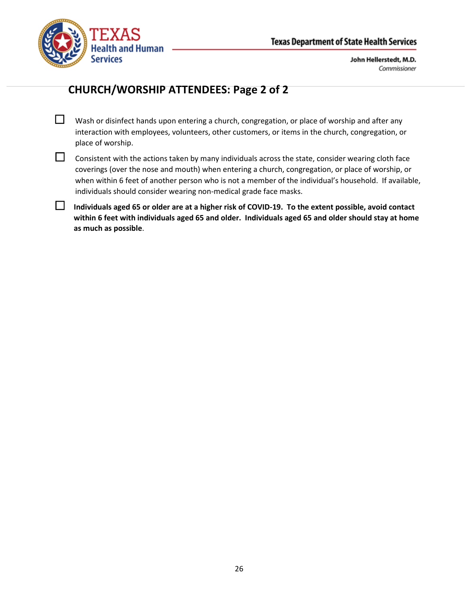

# **CHURCH/WORSHIP ATTENDEES: Page 2 of 2**

- $\Box$  Wash or disinfect hands upon entering a church, congregation, or place of worship and after any interaction with employees, volunteers, other customers, or items in the church, congregation, or place of worship.
- 

 $\Box$  Consistent with the actions taken by many individuals across the state, consider wearing cloth face coverings (over the nose and mouth) when entering a church, congregation, or place of worship, or when within 6 feet of another person who is not a member of the individual's household. If available, individuals should consider wearing non-medical grade face masks.

 **Individuals aged 65 or older are at a higher risk of COVID-19. To the extent possible, avoid contact within 6 feet with individuals aged 65 and older. Individuals aged 65 and older should stay at home as much as possible**.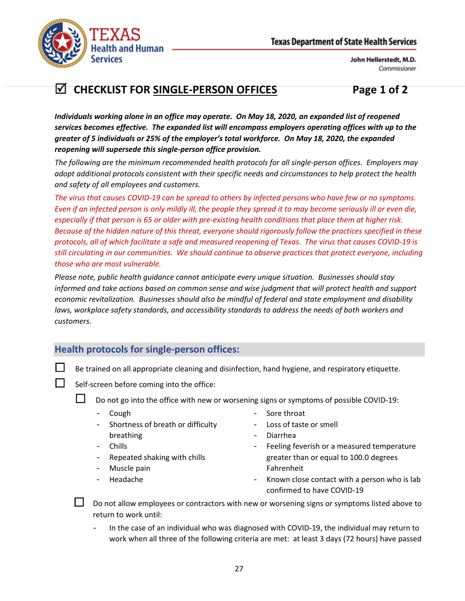



# **CHECKLIST FOR SINGLE-PERSON OFFICES Page 1 of 2**

*Individuals working alone in an office may operate. On May 18, 2020, an expanded list of reopened services becomes effective. The expanded list will encompass employers operating offices with up to the greater of 5 individuals or 25% of the employer's total workforce. On May 18, 2020, the expanded reopening will supersede this single-person office provision.*

*The following are the minimum recommended health protocols for all single-person offices. Employers may adopt additional protocols consistent with their specific needs and circumstances to help protect the health and safety of all employees and customers.*

*The virus that causes COVID-19 can be spread to others by infected persons who have few or no symptoms. Even if an infected person is only mildly ill, the people they spread it to may become seriously ill or even die, especially if that person is 65 or older with pre-existing health conditions that place them at higher risk. Because of the hidden nature of this threat, everyone should rigorously follow the practices specified in these protocols, all of which facilitate a safe and measured reopening of Texas. The virus that causes COVID-19 is still circulating in our communities. We should continue to observe practices that protect everyone, including those who are most vulnerable.*

*Please note, public health guidance cannot anticipate every unique situation. Businesses should stay informed and take actions based on common sense and wise judgment that will protect health and support economic revitalization. Businesses should also be mindful of federal and state employment and disability laws, workplace safety standards, and accessibility standards to address the needs of both workers and customers.*

## **Health protocols for single-person offices:**

 $\Box$  Be trained on all appropriate cleaning and disinfection, hand hygiene, and respiratory etiquette.

Self-screen before coming into the office:

 $\Box$  Do not go into the office with new or worsening signs or symptoms of possible COVID-19:

- **Cough**
- Shortness of breath or difficulty breathing
- **Chills**
- Repeated shaking with chills
- Muscle pain
- Headache
- Sore throat
- Loss of taste or smell
- Diarrhea
- Feeling feverish or a measured temperature greater than or equal to 100.0 degrees Fahrenheit
- Known close contact with a person who is lab confirmed to have COVID-19

 Do not allow employees or contractors with new or worsening signs or symptoms listed above to return to work until:

In the case of an individual who was diagnosed with COVID-19, the individual may return to work when all three of the following criteria are met: at least 3 days (72 hours) have passed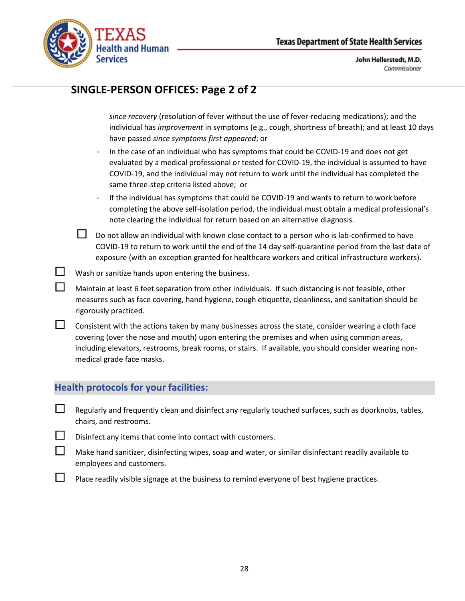

|  | SINGLE-PERSON OFFICES: Page 2 of 2                                                                                                                                                                                                                                                                                                                     |
|--|--------------------------------------------------------------------------------------------------------------------------------------------------------------------------------------------------------------------------------------------------------------------------------------------------------------------------------------------------------|
|  | since recovery (resolution of fever without the use of fever-reducing medications); and the<br>individual has improvement in symptoms (e.g., cough, shortness of breath); and at least 10 days<br>have passed since symptoms first appeared; or                                                                                                        |
|  | In the case of an individual who has symptoms that could be COVID-19 and does not get<br>$\qquad \qquad -$<br>evaluated by a medical professional or tested for COVID-19, the individual is assumed to have<br>COVID-19, and the individual may not return to work until the individual has completed the<br>same three-step criteria listed above; or |
|  | If the individual has symptoms that could be COVID-19 and wants to return to work before<br>$\qquad \qquad -$<br>completing the above self-isolation period, the individual must obtain a medical professional's<br>note clearing the individual for return based on an alternative diagnosis.                                                         |
|  | Do not allow an individual with known close contact to a person who is lab-confirmed to have<br>COVID-19 to return to work until the end of the 14 day self-quarantine period from the last date of<br>exposure (with an exception granted for healthcare workers and critical infrastructure workers).                                                |
|  | Wash or sanitize hands upon entering the business.                                                                                                                                                                                                                                                                                                     |
|  | Maintain at least 6 feet separation from other individuals. If such distancing is not feasible, other<br>measures such as face covering, hand hygiene, cough etiquette, cleanliness, and sanitation should be<br>rigorously practiced.                                                                                                                 |
|  | Consistent with the actions taken by many businesses across the state, consider wearing a cloth face<br>covering (over the nose and mouth) upon entering the premises and when using common areas,<br>including elevators, restrooms, break rooms, or stairs. If available, you should consider wearing non-<br>medical grade face masks.              |
|  | <b>Health protocols for your facilities:</b>                                                                                                                                                                                                                                                                                                           |

### $\Box$  Regularly and frequently clean and disinfect any regularly touched surfaces, such as doorknobs, tables, chairs, and restrooms.

- $\Box$  Disinfect any items that come into contact with customers.
- $\Box$  Make hand sanitizer, disinfecting wipes, soap and water, or similar disinfectant readily available to employees and customers.
- $\Box$  Place readily visible signage at the business to remind everyone of best hygiene practices.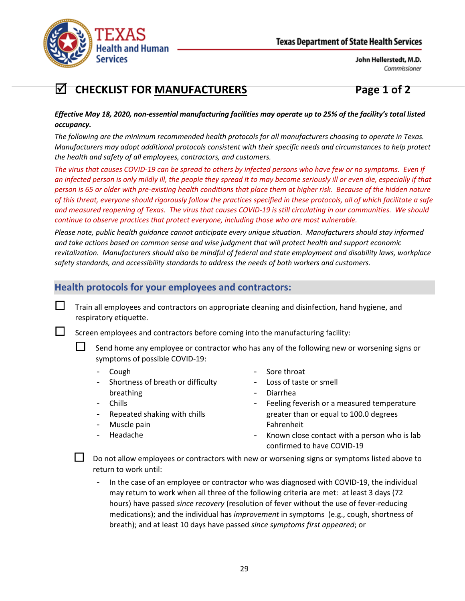

# **CHECKLIST FOR MANUFACTURERS Page 1 of 2**

#### *Effective May 18, 2020, non-essential manufacturing facilities may operate up to 25% of the facility's total listed occupancy.*

*The following are the minimum recommended health protocols for all manufacturers choosing to operate in Texas. Manufacturers may adopt additional protocols consistent with their specific needs and circumstances to help protect the health and safety of all employees, contractors, and customers.*

*The virus that causes COVID-19 can be spread to others by infected persons who have few or no symptoms. Even if an infected person is only mildly ill, the people they spread it to may become seriously ill or even die, especially if that person is 65 or older with pre-existing health conditions that place them at higher risk. Because of the hidden nature of this threat, everyone should rigorously follow the practices specified in these protocols, all of which facilitate a safe and measured reopening of Texas. The virus that causes COVID-19 is still circulating in our communities. We should continue to observe practices that protect everyone, including those who are most vulnerable.*

*Please note, public health guidance cannot anticipate every unique situation. Manufacturers should stay informed and take actions based on common sense and wise judgment that will protect health and support economic revitalization. Manufacturers should also be mindful of federal and state employment and disability laws, workplace safety standards, and accessibility standards to address the needs of both workers and customers.*

## **Health protocols for your employees and contractors:**

 Train all employees and contractors on appropriate cleaning and disinfection, hand hygiene, and respiratory etiquette.

Screen employees and contractors before coming into the manufacturing facility:

- Send home any employee or contractor who has any of the following new or worsening signs or symptoms of possible COVID-19:
	- Cough
	- Shortness of breath or difficulty breathing
	- Chills
	- Repeated shaking with chills
	- Muscle pain
	- Headache
- Sore throat
- Loss of taste or smell
- Diarrhea
- Feeling feverish or a measured temperature greater than or equal to 100.0 degrees Fahrenheit
- Known close contact with a person who is lab confirmed to have COVID-19

 Do not allow employees or contractors with new or worsening signs or symptoms listed above to return to work until:

In the case of an employee or contractor who was diagnosed with COVID-19, the individual may return to work when all three of the following criteria are met: at least 3 days (72 hours) have passed *since recovery* (resolution of fever without the use of fever-reducing medications); and the individual has *improvement* in symptoms (e.g., cough, shortness of breath); and at least 10 days have passed *since symptoms first appeared*; or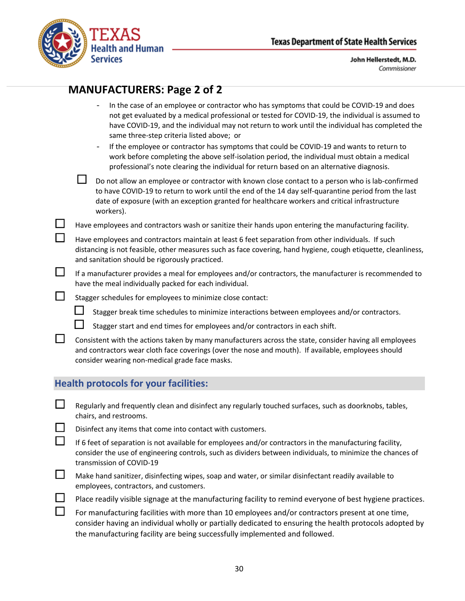



## **MANUFACTURERS: Page 2 of 2**

- In the case of an employee or contractor who has symptoms that could be COVID-19 and does not get evaluated by a medical professional or tested for COVID-19, the individual is assumed to have COVID-19, and the individual may not return to work until the individual has completed the same three-step criteria listed above; or
- If the employee or contractor has symptoms that could be COVID-19 and wants to return to work before completing the above self-isolation period, the individual must obtain a medical professional's note clearing the individual for return based on an alternative diagnosis.

 $\square$  Do not allow an employee or contractor with known close contact to a person who is lab-confirmed to have COVID-19 to return to work until the end of the 14 day self-quarantine period from the last date of exposure (with an exception granted for healthcare workers and critical infrastructure workers).

 $\Box$  Have employees and contractors wash or sanitize their hands upon entering the manufacturing facility.

 Have employees and contractors maintain at least 6 feet separation from other individuals. If such distancing is not feasible, other measures such as face covering, hand hygiene, cough etiquette, cleanliness, and sanitation should be rigorously practiced.

 $\Box$  If a manufacturer provides a meal for employees and/or contractors, the manufacturer is recommended to have the meal individually packed for each individual.

 $\Box$  Stagger schedules for employees to minimize close contact:

 $\Box$  Stagger break time schedules to minimize interactions between employees and/or contractors.

Stagger start and end times for employees and/or contractors in each shift.

 Consistent with the actions taken by many manufacturers across the state, consider having all employees and contractors wear cloth face coverings (over the nose and mouth). If available, employees should consider wearing non-medical grade face masks.

#### **Health protocols for your facilities:**

- $\Box$  Regularly and frequently clean and disinfect any regularly touched surfaces, such as doorknobs, tables, chairs, and restrooms.
	- Disinfect any items that come into contact with customers.
- If 6 feet of separation is not available for employees and/or contractors in the manufacturing facility, consider the use of engineering controls, such as dividers between individuals, to minimize the chances of transmission of COVID-19
- $\Box$  Make hand sanitizer, disinfecting wipes, soap and water, or similar disinfectant readily available to employees, contractors, and customers.
	- Place readily visible signage at the manufacturing facility to remind everyone of best hygiene practices.
	- For manufacturing facilities with more than 10 employees and/or contractors present at one time, consider having an individual wholly or partially dedicated to ensuring the health protocols adopted by the manufacturing facility are being successfully implemented and followed.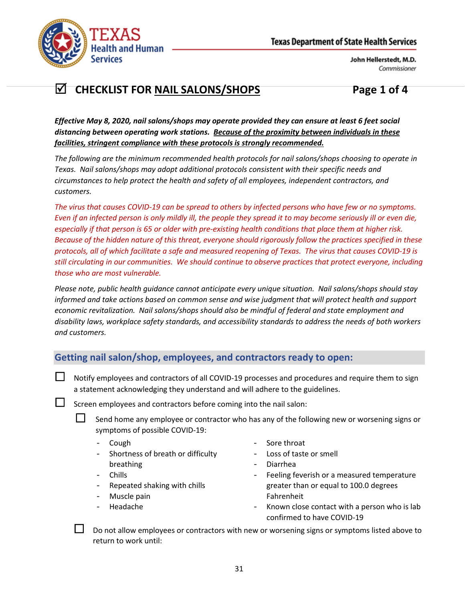

# **CHECKLIST FOR NAIL SALONS/SHOPS Page 1 of 4**

*Effective May 8, 2020, nail salons/shops may operate provided they can ensure at least 6 feet social distancing between operating work stations. Because of the proximity between individuals in these facilities, stringent compliance with these protocols is strongly recommended.*

*The following are the minimum recommended health protocols for nail salons/shops choosing to operate in Texas. Nail salons/shops may adopt additional protocols consistent with their specific needs and circumstances to help protect the health and safety of all employees, independent contractors, and customers.*

*The virus that causes COVID-19 can be spread to others by infected persons who have few or no symptoms. Even if an infected person is only mildly ill, the people they spread it to may become seriously ill or even die, especially if that person is 65 or older with pre-existing health conditions that place them at higher risk. Because of the hidden nature of this threat, everyone should rigorously follow the practices specified in these protocols, all of which facilitate a safe and measured reopening of Texas. The virus that causes COVID-19 is still circulating in our communities. We should continue to observe practices that protect everyone, including those who are most vulnerable.*

*Please note, public health guidance cannot anticipate every unique situation. Nail salons/shops should stay informed and take actions based on common sense and wise judgment that will protect health and support economic revitalization. Nail salons/shops should also be mindful of federal and state employment and disability laws, workplace safety standards, and accessibility standards to address the needs of both workers and customers.*

## **Getting nail salon/shop, employees, and contractors ready to open:**

 $\Box$  Notify employees and contractors of all COVID-19 processes and procedures and require them to sign a statement acknowledging they understand and will adhere to the guidelines.

Screen employees and contractors before coming into the nail salon:

- Send home any employee or contractor who has any of the following new or worsening signs or symptoms of possible COVID-19:
	- Cough
	- Shortness of breath or difficulty breathing
	- **Chills**
	- Repeated shaking with chills
	- Muscle pain
	- Headache
- Sore throat
- Loss of taste or smell
- Diarrhea
- Feeling feverish or a measured temperature greater than or equal to 100.0 degrees Fahrenheit
- Known close contact with a person who is lab confirmed to have COVID-19

 Do not allow employees or contractors with new or worsening signs or symptoms listed above to return to work until: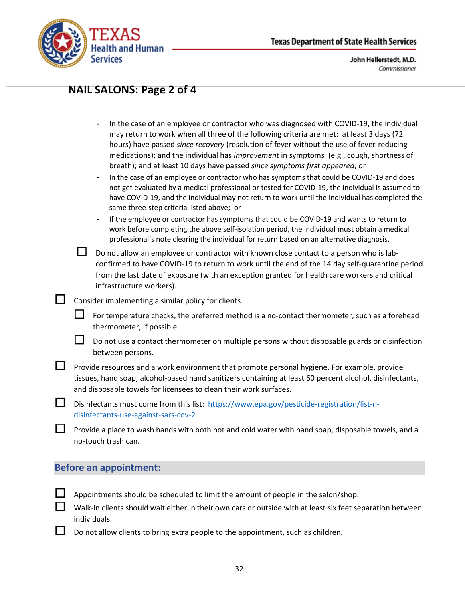

## **NAIL SALONS: Page 2 of 4**

- In the case of an employee or contractor who was diagnosed with COVID-19, the individual may return to work when all three of the following criteria are met: at least 3 days (72 hours) have passed *since recovery* (resolution of fever without the use of fever-reducing medications); and the individual has *improvement* in symptoms (e.g., cough, shortness of breath); and at least 10 days have passed *since symptoms first appeared*; or
- In the case of an employee or contractor who has symptoms that could be COVID-19 and does not get evaluated by a medical professional or tested for COVID-19, the individual is assumed to have COVID-19, and the individual may not return to work until the individual has completed the same three-step criteria listed above; or
- If the employee or contractor has symptoms that could be COVID-19 and wants to return to work before completing the above self-isolation period, the individual must obtain a medical professional's note clearing the individual for return based on an alternative diagnosis.
- Do not allow an employee or contractor with known close contact to a person who is labconfirmed to have COVID-19 to return to work until the end of the 14 day self-quarantine period from the last date of exposure (with an exception granted for health care workers and critical infrastructure workers).
- $\Box$  Consider implementing a similar policy for clients.
	- For temperature checks, the preferred method is a no-contact thermometer, such as a forehead thermometer, if possible.
	- $\Box$  Do not use a contact thermometer on multiple persons without disposable guards or disinfection between persons.
- $\Box$  Provide resources and a work environment that promote personal hygiene. For example, provide tissues, hand soap, alcohol-based hand sanitizers containing at least 60 percent alcohol, disinfectants, and disposable towels for licensees to clean their work surfaces.
- Disinfectants must come from this list: [https://www.epa.gov/pesticide-registration/list-n](https://www.epa.gov/pesticide-registration/list-n-disinfectants-use-against-sars-cov-2)[disinfectants-use-against-sars-cov-2](https://www.epa.gov/pesticide-registration/list-n-disinfectants-use-against-sars-cov-2)
	- Provide a place to wash hands with both hot and cold water with hand soap, disposable towels, and a no-touch trash can.

#### **Before an appointment:**

- Appointments should be scheduled to limit the amount of people in the salon/shop.
- Walk-in clients should wait either in their own cars or outside with at least six feet separation between individuals.
- Do not allow clients to bring extra people to the appointment, such as children.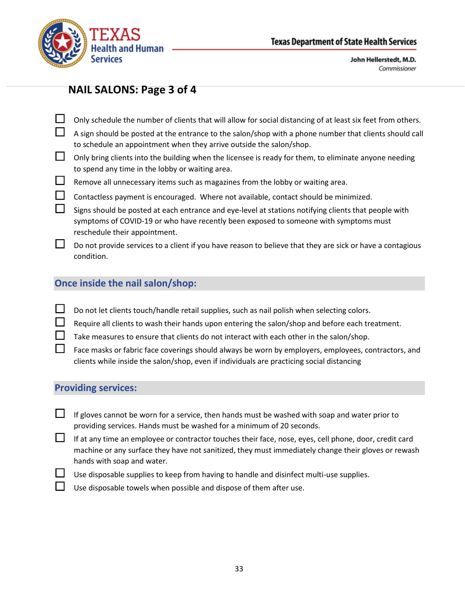

## **NAIL SALONS: Page 3 of 4**

- Only schedule the number of clients that will allow for social distancing of at least six feet from others.
	- A sign should be posted at the entrance to the salon/shop with a phone number that clients should call to schedule an appointment when they arrive outside the salon/shop.
- $\Box$  Only bring clients into the building when the licensee is ready for them, to eliminate anyone needing to spend any time in the lobby or waiting area.
- $\Box$  Remove all unnecessary items such as magazines from the lobby or waiting area.
	- Contactless payment is encouraged. Where not available, contact should be minimized.
- $\Box$  Signs should be posted at each entrance and eye-level at stations notifying clients that people with symptoms of COVID-19 or who have recently been exposed to someone with symptoms must reschedule their appointment.
- $\square$  Do not provide services to a client if you have reason to believe that they are sick or have a contagious condition.

### **Once inside the nail salon/shop:**

- $\Box$  Do not let clients touch/handle retail supplies, such as nail polish when selecting colors.
	- Require all clients to wash their hands upon entering the salon/shop and before each treatment.
	- Take measures to ensure that clients do not interact with each other in the salon/shop.
- Face masks or fabric face coverings should always be worn by employers, employees, contractors, and clients while inside the salon/shop, even if individuals are practicing social distancing

#### **Providing services:**

- If gloves cannot be worn for a service, then hands must be washed with soap and water prior to providing services. Hands must be washed for a minimum of 20 seconds.
- $\Box$  If at any time an employee or contractor touches their face, nose, eyes, cell phone, door, credit card machine or any surface they have not sanitized, they must immediately change their gloves or rewash hands with soap and water.
	- Use disposable supplies to keep from having to handle and disinfect multi-use supplies.
	- Use disposable towels when possible and dispose of them after use.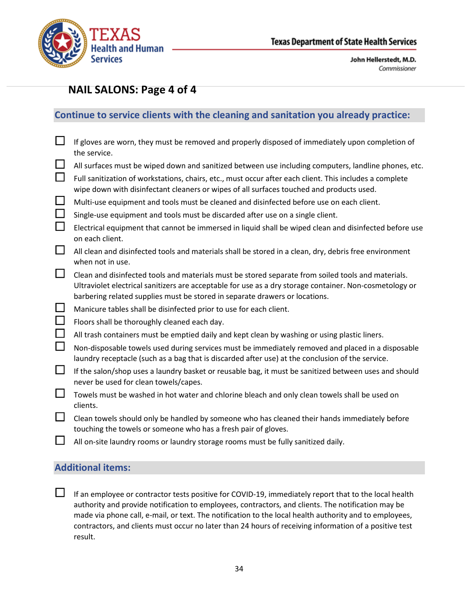

## **NAIL SALONS: Page 4 of 4**

## **Continue to service clients with the cleaning and sanitation you already practice:**

| $\Box$   | If gloves are worn, they must be removed and properly disposed of immediately upon completion of<br>the service.                                                                                                                                                                             |
|----------|----------------------------------------------------------------------------------------------------------------------------------------------------------------------------------------------------------------------------------------------------------------------------------------------|
| $\Box$   | All surfaces must be wiped down and sanitized between use including computers, landline phones, etc.                                                                                                                                                                                         |
| $\Box$   | Full sanitization of workstations, chairs, etc., must occur after each client. This includes a complete<br>wipe down with disinfectant cleaners or wipes of all surfaces touched and products used.                                                                                          |
| $\Box$   | Multi-use equipment and tools must be cleaned and disinfected before use on each client.                                                                                                                                                                                                     |
| $\Box$   | Single-use equipment and tools must be discarded after use on a single client.                                                                                                                                                                                                               |
| $\Box$   | Electrical equipment that cannot be immersed in liquid shall be wiped clean and disinfected before use<br>on each client.                                                                                                                                                                    |
| $\sqcup$ | All clean and disinfected tools and materials shall be stored in a clean, dry, debris free environment<br>when not in use.                                                                                                                                                                   |
| $\Box$   | Clean and disinfected tools and materials must be stored separate from soiled tools and materials.<br>Ultraviolet electrical sanitizers are acceptable for use as a dry storage container. Non-cosmetology or<br>barbering related supplies must be stored in separate drawers or locations. |
| Ц        | Manicure tables shall be disinfected prior to use for each client.                                                                                                                                                                                                                           |
| $\Box$   | Floors shall be thoroughly cleaned each day.                                                                                                                                                                                                                                                 |
| $\Box$   | All trash containers must be emptied daily and kept clean by washing or using plastic liners.                                                                                                                                                                                                |
| $\Box$   | Non-disposable towels used during services must be immediately removed and placed in a disposable<br>laundry receptacle (such as a bag that is discarded after use) at the conclusion of the service.                                                                                        |
| $\Box$   | If the salon/shop uses a laundry basket or reusable bag, it must be sanitized between uses and should<br>never be used for clean towels/capes.                                                                                                                                               |
| $\sqcup$ | Towels must be washed in hot water and chlorine bleach and only clean towels shall be used on<br>clients.                                                                                                                                                                                    |
| ப        | Clean towels should only be handled by someone who has cleaned their hands immediately before<br>touching the towels or someone who has a fresh pair of gloves.                                                                                                                              |

 $\Box$  All on-site laundry rooms or laundry storage rooms must be fully sanitized daily.

### **Additional items:**

If an employee or contractor tests positive for COVID-19, immediately report that to the local health authority and provide notification to employees, contractors, and clients. The notification may be made via phone call, e-mail, or text. The notification to the local health authority and to employees, contractors, and clients must occur no later than 24 hours of receiving information of a positive test result.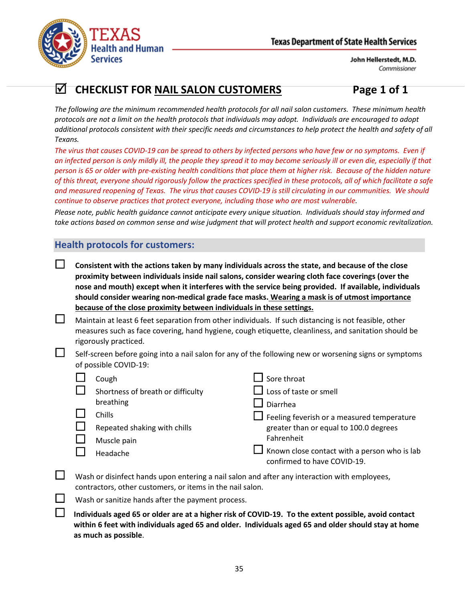

# **CHECKLIST FOR NAIL SALON CUSTOMERS Page 1 of 1**

*The following are the minimum recommended health protocols for all nail salon customers. These minimum health protocols are not a limit on the health protocols that individuals may adopt. Individuals are encouraged to adopt additional protocols consistent with their specific needs and circumstances to help protect the health and safety of all Texans.*

*The virus that causes COVID-19 can be spread to others by infected persons who have few or no symptoms. Even if an infected person is only mildly ill, the people they spread it to may become seriously ill or even die, especially if that person is 65 or older with pre-existing health conditions that place them at higher risk. Because of the hidden nature of this threat, everyone should rigorously follow the practices specified in these protocols, all of which facilitate a safe and measured reopening of Texas. The virus that causes COVID-19 is still circulating in our communities. We should continue to observe practices that protect everyone, including those who are most vulnerable.*

*Please note, public health guidance cannot anticipate every unique situation. Individuals should stay informed and take actions based on common sense and wise judgment that will protect health and support economic revitalization.*

## **Health protocols for customers:**

- **Consistent with the actions taken by many individuals across the state, and because of the close proximity between individuals inside nail salons, consider wearing cloth face coverings (over the nose and mouth) except when it interferes with the service being provided. If available, individuals should consider wearing non-medical grade face masks. Wearing a mask is of utmost importance because of the close proximity between individuals in these settings.**
- $\Box$  Maintain at least 6 feet separation from other individuals. If such distancing is not feasible, other measures such as face covering, hand hygiene, cough etiquette, cleanliness, and sanitation should be rigorously practiced.
- $\Box$  Self-screen before going into a nail salon for any of the following new or worsening signs or symptoms of possible COVID-19:

| Cough                             | Sore throat                                                                 |
|-----------------------------------|-----------------------------------------------------------------------------|
| Shortness of breath or difficulty | Loss of taste or smell                                                      |
| breathing                         | Diarrhea                                                                    |
| Chills                            | $\Box$ Feeling feverish or a measured temperature                           |
| Repeated shaking with chills      | greater than or equal to 100.0 degrees                                      |
| Muscle pain                       | Fahrenheit                                                                  |
| Headache                          | Known close contact with a person who is lab<br>confirmed to have COVID-19. |
|                                   |                                                                             |

- $\Box$  Wash or disinfect hands upon entering a nail salon and after any interaction with employees, contractors, other customers, or items in the nail salon.
	- Wash or sanitize hands after the payment process.
	- **Individuals aged 65 or older are at a higher risk of COVID-19. To the extent possible, avoid contact within 6 feet with individuals aged 65 and older. Individuals aged 65 and older should stay at home as much as possible**.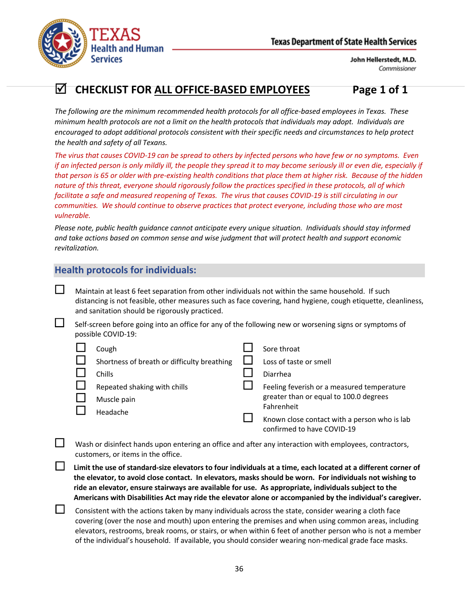



# **CHECKLIST FOR ALL OFFICE-BASED EMPLOYEES Page 1 of 1**

*The following are the minimum recommended health protocols for all office-based employees in Texas. These minimum health protocols are not a limit on the health protocols that individuals may adopt. Individuals are encouraged to adopt additional protocols consistent with their specific needs and circumstances to help protect the health and safety of all Texans.*

*The virus that causes COVID-19 can be spread to others by infected persons who have few or no symptoms. Even if an infected person is only mildly ill, the people they spread it to may become seriously ill or even die, especially if that person is 65 or older with pre-existing health conditions that place them at higher risk. Because of the hidden nature of this threat, everyone should rigorously follow the practices specified in these protocols, all of which facilitate a safe and measured reopening of Texas. The virus that causes COVID-19 is still circulating in our communities. We should continue to observe practices that protect everyone, including those who are most vulnerable.*

*Please note, public health guidance cannot anticipate every unique situation. Individuals should stay informed and take actions based on common sense and wise judgment that will protect health and support economic revitalization.*

## **Health protocols for individuals:**

 $\Box$  Maintain at least 6 feet separation from other individuals not within the same household. If such distancing is not feasible, other measures such as face covering, hand hygiene, cough etiquette, cleanliness, and sanitation should be rigorously practiced.

 $\Box$  Self-screen before going into an office for any of the following new or worsening signs or symptoms of possible COVID-19:

| Cough                                       | Sore throat                                  |
|---------------------------------------------|----------------------------------------------|
| Shortness of breath or difficulty breathing | Loss of taste or smell                       |
| Chills                                      | Diarrhea                                     |
| Repeated shaking with chills                | Feeling feverish or a measured temperature   |
| Muscle pain                                 | greater than or equal to 100.0 degrees       |
| Headache                                    | Fahrenheit                                   |
|                                             | Known close contact with a person who is lab |
|                                             | confirmed to have COVID-19                   |

 Wash or disinfect hands upon entering an office and after any interaction with employees, contractors, customers, or items in the office.

 **Limit the use of standard-size elevators to four individuals at a time, each located at a different corner of the elevator, to avoid close contact. In elevators, masks should be worn. For individuals not wishing to ride an elevator, ensure stairways are available for use. As appropriate, individuals subject to the Americans with Disabilities Act may ride the elevator alone or accompanied by the individual's caregiver.**

 $\Box$  Consistent with the actions taken by many individuals across the state, consider wearing a cloth face covering (over the nose and mouth) upon entering the premises and when using common areas, including elevators, restrooms, break rooms, or stairs, or when within 6 feet of another person who is not a member of the individual's household. If available, you should consider wearing non-medical grade face masks.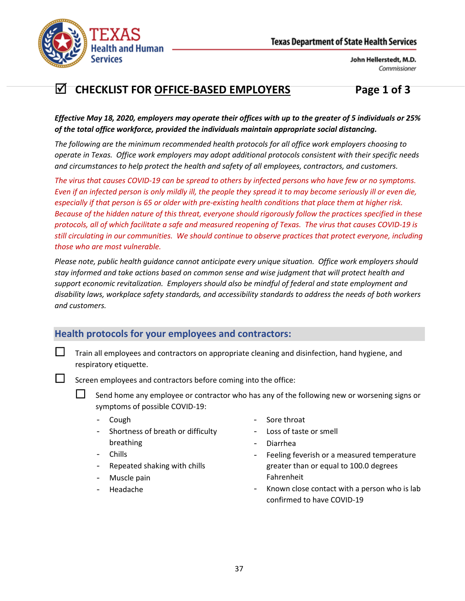

# **CHECKLIST FOR OFFICE-BASED EMPLOYERS Page 1 of 3**

*Effective May 18, 2020, employers may operate their offices with up to the greater of 5 individuals or 25% of the total office workforce, provided the individuals maintain appropriate social distancing.*

*The following are the minimum recommended health protocols for all office work employers choosing to operate in Texas. Office work employers may adopt additional protocols consistent with their specific needs and circumstances to help protect the health and safety of all employees, contractors, and customers.*

*The virus that causes COVID-19 can be spread to others by infected persons who have few or no symptoms. Even if an infected person is only mildly ill, the people they spread it to may become seriously ill or even die, especially if that person is 65 or older with pre-existing health conditions that place them at higher risk. Because of the hidden nature of this threat, everyone should rigorously follow the practices specified in these protocols, all of which facilitate a safe and measured reopening of Texas. The virus that causes COVID-19 is still circulating in our communities. We should continue to observe practices that protect everyone, including those who are most vulnerable.*

*Please note, public health guidance cannot anticipate every unique situation. Office work employers should stay informed and take actions based on common sense and wise judgment that will protect health and support economic revitalization. Employers should also be mindful of federal and state employment and disability laws, workplace safety standards, and accessibility standards to address the needs of both workers and customers.*

## **Health protocols for your employees and contractors:**

 $\Box$  Train all employees and contractors on appropriate cleaning and disinfection, hand hygiene, and respiratory etiquette.

Screen employees and contractors before coming into the office:

 Send home any employee or contractor who has any of the following new or worsening signs or symptoms of possible COVID-19:

- Cough
- Shortness of breath or difficulty breathing
- Chills
- Repeated shaking with chills
- Muscle pain
- Headache
- Sore throat
- Loss of taste or smell
- Diarrhea
- Feeling feverish or a measured temperature greater than or equal to 100.0 degrees Fahrenheit
- Known close contact with a person who is lab confirmed to have COVID-19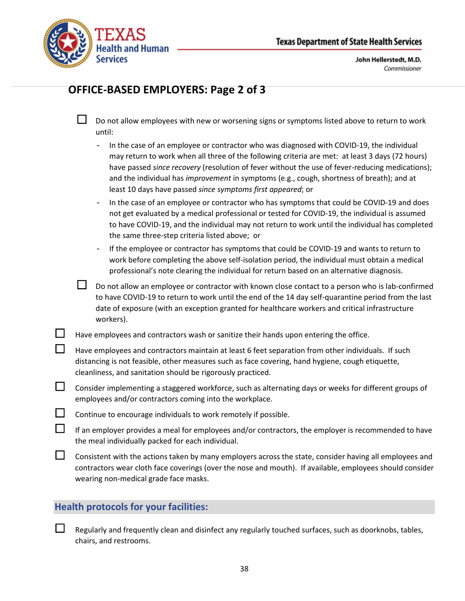

# **OFFICE-BASED EMPLOYERS: Page 2 of 3**

| └┘ | Do not allow employees with new or worsening signs or symptoms listed above to return to work |
|----|-----------------------------------------------------------------------------------------------|
|    | until:                                                                                        |

- In the case of an employee or contractor who was diagnosed with COVID-19, the individual may return to work when all three of the following criteria are met: at least 3 days (72 hours) have passed *since recovery* (resolution of fever without the use of fever-reducing medications); and the individual has *improvement* in symptoms (e.g., cough, shortness of breath); and at least 10 days have passed *since symptoms first appeared*; or
- In the case of an employee or contractor who has symptoms that could be COVID-19 and does not get evaluated by a medical professional or tested for COVID-19, the individual is assumed to have COVID-19, and the individual may not return to work until the individual has completed the same three-step criteria listed above; or
- If the employee or contractor has symptoms that could be COVID-19 and wants to return to work before completing the above self-isolation period, the individual must obtain a medical professional's note clearing the individual for return based on an alternative diagnosis.
- Do not allow an employee or contractor with known close contact to a person who is lab-confirmed to have COVID-19 to return to work until the end of the 14 day self-quarantine period from the last date of exposure (with an exception granted for healthcare workers and critical infrastructure workers).

Have employees and contractors wash or sanitize their hands upon entering the office.

| $\mathbf{L}$ | Have employees and contractors maintain at least 6 feet separation from other individuals. If such |
|--------------|----------------------------------------------------------------------------------------------------|
|              | distancing is not feasible, other measures such as face covering, hand hygiene, cough etiquette,   |
|              | cleanliness, and sanitation should be rigorously practiced.                                        |

- $\Box$  Consider implementing a staggered workforce, such as alternating days or weeks for different groups of employees and/or contractors coming into the workplace.
- $\Box$  Continue to encourage individuals to work remotely if possible.

| If an employer provides a meal for employees and/or contractors, the employer is recommended to have |
|------------------------------------------------------------------------------------------------------|
| the meal individually packed for each individual.                                                    |

 $\Box$  Consistent with the actions taken by many employers across the state, consider having all employees and contractors wear cloth face coverings (over the nose and mouth). If available, employees should consider wearing non-medical grade face masks.

## **Health protocols for your facilities:**

 Regularly and frequently clean and disinfect any regularly touched surfaces, such as doorknobs, tables, chairs, and restrooms.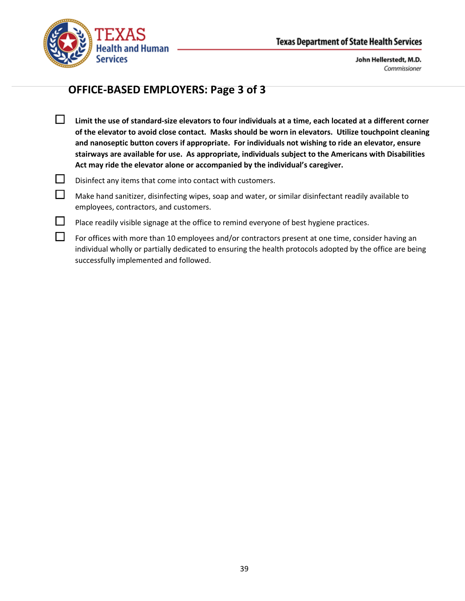

# **OFFICE-BASED EMPLOYERS: Page 3 of 3**

- **Limit the use of standard-size elevators to four individuals at a time, each located at a different corner of the elevator to avoid close contact. Masks should be worn in elevators. Utilize touchpoint cleaning and nanoseptic button covers if appropriate. For individuals not wishing to ride an elevator, ensure stairways are available for use. As appropriate, individuals subject to the Americans with Disabilities Act may ride the elevator alone or accompanied by the individual's caregiver.**
- $\Box$  Disinfect any items that come into contact with customers.
- $\Box$  Make hand sanitizer, disinfecting wipes, soap and water, or similar disinfectant readily available to employees, contractors, and customers.
- $\Box$  Place readily visible signage at the office to remind everyone of best hygiene practices.
- $\Box$  For offices with more than 10 employees and/or contractors present at one time, consider having an individual wholly or partially dedicated to ensuring the health protocols adopted by the office are being successfully implemented and followed.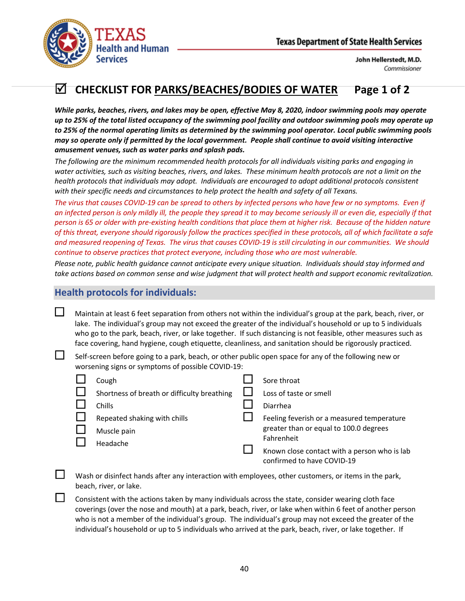

# **CHECKLIST FOR PARKS/BEACHES/BODIES OF WATER Page 1 of 2**

*While parks, beaches, rivers, and lakes may be open, effective May 8, 2020, indoor swimming pools may operate up to 25% of the total listed occupancy of the swimming pool facility and outdoor swimming pools may operate up to 25% of the normal operating limits as determined by the swimming pool operator. Local public swimming pools may so operate only if permitted by the local government. People shall continue to avoid visiting interactive amusement venues, such as water parks and splash pads.*

*The following are the minimum recommended health protocols for all individuals visiting parks and engaging in water activities, such as visiting beaches, rivers, and lakes. These minimum health protocols are not a limit on the health protocols that individuals may adopt. Individuals are encouraged to adopt additional protocols consistent with their specific needs and circumstances to help protect the health and safety of all Texans.*

*The virus that causes COVID-19 can be spread to others by infected persons who have few or no symptoms. Even if an infected person is only mildly ill, the people they spread it to may become seriously ill or even die, especially if that person is 65 or older with pre-existing health conditions that place them at higher risk. Because of the hidden nature of this threat, everyone should rigorously follow the practices specified in these protocols, all of which facilitate a safe and measured reopening of Texas. The virus that causes COVID-19 is still circulating in our communities. We should continue to observe practices that protect everyone, including those who are most vulnerable.*

*Please note, public health guidance cannot anticipate every unique situation. Individuals should stay informed and take actions based on common sense and wise judgment that will protect health and support economic revitalization.*

#### **Health protocols for individuals:**

 $\Box$  Maintain at least 6 feet separation from others not within the individual's group at the park, beach, river, or lake. The individual's group may not exceed the greater of the individual's household or up to 5 individuals who go to the park, beach, river, or lake together. If such distancing is not feasible, other measures such as face covering, hand hygiene, cough etiquette, cleanliness, and sanitation should be rigorously practiced.

 $\Box$  Self-screen before going to a park, beach, or other public open space for any of the following new or worsening signs or symptoms of possible COVID-19:

| Cough                                       | Sore throat                                  |
|---------------------------------------------|----------------------------------------------|
| Shortness of breath or difficulty breathing | Loss of taste or smell                       |
| Chills                                      | Diarrhea                                     |
| Repeated shaking with chills                | Feeling feverish or a measured temperature   |
| Muscle pain                                 | greater than or equal to 100.0 degrees       |
| Headache                                    | Fahrenheit                                   |
|                                             | Known close contact with a person who is lab |
|                                             | confirmed to have COVID-19                   |

 Wash or disinfect hands after any interaction with employees, other customers, or items in the park, beach, river, or lake.

 Consistent with the actions taken by many individuals across the state, consider wearing cloth face coverings (over the nose and mouth) at a park, beach, river, or lake when within 6 feet of another person who is not a member of the individual's group. The individual's group may not exceed the greater of the individual's household or up to 5 individuals who arrived at the park, beach, river, or lake together. If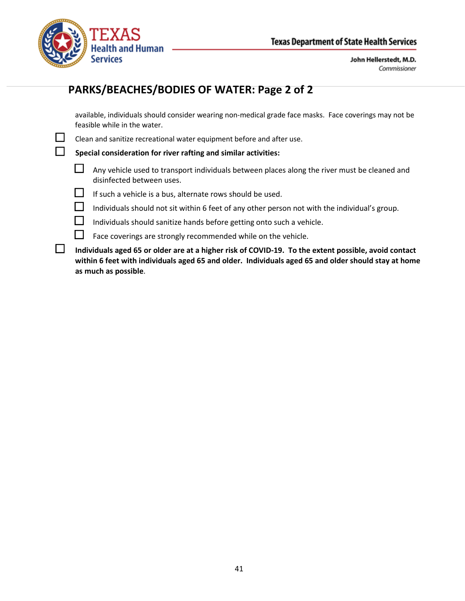

# **PARKS/BEACHES/BODIES OF WATER: Page 2 of 2**

available, individuals should consider wearing non-medical grade face masks. Face coverings may not be feasible while in the water.

 $\Box$  Clean and sanitize recreational water equipment before and after use.

**Special consideration for river rafting and similar activities:**

- $\Box$  Any vehicle used to transport individuals between places along the river must be cleaned and disinfected between uses.
- If such a vehicle is a bus, alternate rows should be used.
- $\Box$  Individuals should not sit within 6 feet of any other person not with the individual's group.
- $\Box$  Individuals should sanitize hands before getting onto such a vehicle.
- $\Box$  Face coverings are strongly recommended while on the vehicle.
- **Individuals aged 65 or older are at a higher risk of COVID-19. To the extent possible, avoid contact within 6 feet with individuals aged 65 and older. Individuals aged 65 and older should stay at home as much as possible**.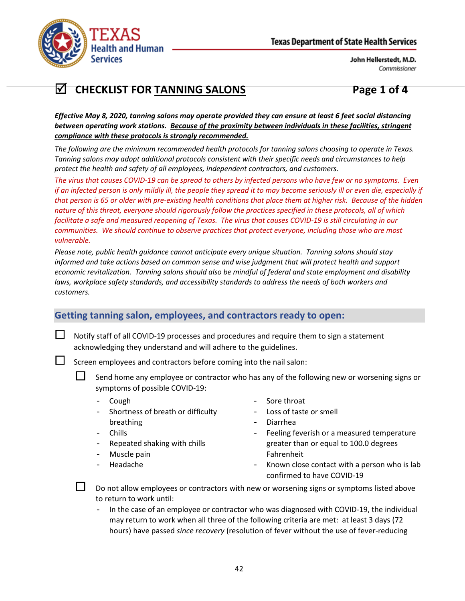

# **CHECKLIST FOR TANNING SALONS Page 1 of 4**

*Effective May 8, 2020, tanning salons may operate provided they can ensure at least 6 feet social distancing between operating work stations. Because of the proximity between individuals in these facilities, stringent compliance with these protocols is strongly recommended.*

*The following are the minimum recommended health protocols for tanning salons choosing to operate in Texas. Tanning salons may adopt additional protocols consistent with their specific needs and circumstances to help protect the health and safety of all employees, independent contractors, and customers.*

*The virus that causes COVID-19 can be spread to others by infected persons who have few or no symptoms. Even if an infected person is only mildly ill, the people they spread it to may become seriously ill or even die, especially if that person is 65 or older with pre-existing health conditions that place them at higher risk. Because of the hidden nature of this threat, everyone should rigorously follow the practices specified in these protocols, all of which*  facilitate a safe and measured reopening of Texas. The virus that causes COVID-19 is still circulating in our *communities. We should continue to observe practices that protect everyone, including those who are most vulnerable.*

*Please note, public health guidance cannot anticipate every unique situation. Tanning salons should stay informed and take actions based on common sense and wise judgment that will protect health and support economic revitalization. Tanning salons should also be mindful of federal and state employment and disability*  laws, workplace safety standards, and accessibility standards to address the needs of both workers and *customers.*

## **Getting tanning salon, employees, and contractors ready to open:**

 $\Box$  Notify staff of all COVID-19 processes and procedures and require them to sign a statement acknowledging they understand and will adhere to the guidelines.

 $\Box$  Screen employees and contractors before coming into the nail salon:

 $\square$  Send home any employee or contractor who has any of the following new or worsening signs or symptoms of possible COVID-19:

- Cough
- Shortness of breath or difficulty breathing
- Chills
- Repeated shaking with chills
- Muscle pain
- Headache
- Sore throat
- Loss of taste or smell
- Diarrhea
- Feeling feverish or a measured temperature greater than or equal to 100.0 degrees Fahrenheit
- Known close contact with a person who is lab confirmed to have COVID-19



 $\Box$  Do not allow employees or contractors with new or worsening signs or symptoms listed above to return to work until:

In the case of an employee or contractor who was diagnosed with COVID-19, the individual may return to work when all three of the following criteria are met: at least 3 days (72 hours) have passed *since recovery* (resolution of fever without the use of fever-reducing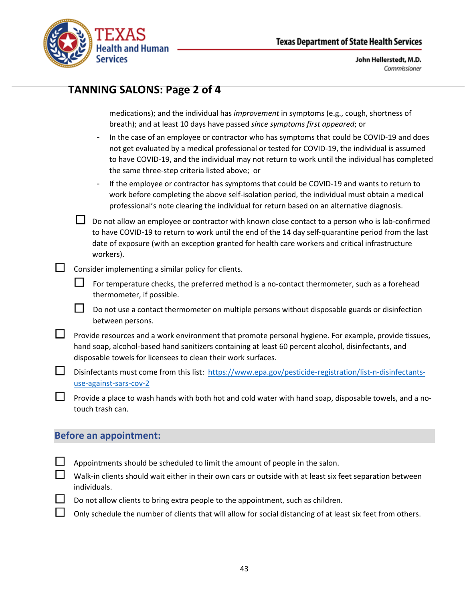

## **TANNING SALONS: Page 2 of 4**

medications); and the individual has *improvement* in symptoms (e.g., cough, shortness of breath); and at least 10 days have passed *since symptoms first appeared*; or

- In the case of an employee or contractor who has symptoms that could be COVID-19 and does not get evaluated by a medical professional or tested for COVID-19, the individual is assumed to have COVID-19, and the individual may not return to work until the individual has completed the same three-step criteria listed above; or
- If the employee or contractor has symptoms that could be COVID-19 and wants to return to work before completing the above self-isolation period, the individual must obtain a medical professional's note clearing the individual for return based on an alternative diagnosis.

 $\Box$  Do not allow an employee or contractor with known close contact to a person who is lab-confirmed to have COVID-19 to return to work until the end of the 14 day self-quarantine period from the last date of exposure (with an exception granted for health care workers and critical infrastructure workers).

- $\Box$  Consider implementing a similar policy for clients.
	- For temperature checks, the preferred method is a no-contact thermometer, such as a forehead thermometer, if possible.
	- $\Box$  Do not use a contact thermometer on multiple persons without disposable guards or disinfection between persons.
- $\Box$  Provide resources and a work environment that promote personal hygiene. For example, provide tissues, hand soap, alcohol-based hand sanitizers containing at least 60 percent alcohol, disinfectants, and disposable towels for licensees to clean their work surfaces.
- Disinfectants must come from this list: [https://www.epa.gov/pesticide-registration/list-n-disinfectants](https://www.epa.gov/pesticide-registration/list-n-disinfectants-use-against-sars-cov-2)[use-against-sars-cov-2](https://www.epa.gov/pesticide-registration/list-n-disinfectants-use-against-sars-cov-2)
	- Provide a place to wash hands with both hot and cold water with hand soap, disposable towels, and a notouch trash can.

#### **Before an appointment:**

- Appointments should be scheduled to limit the amount of people in the salon.
- Walk-in clients should wait either in their own cars or outside with at least six feet separation between individuals.
- Do not allow clients to bring extra people to the appointment, such as children.
- Only schedule the number of clients that will allow for social distancing of at least six feet from others.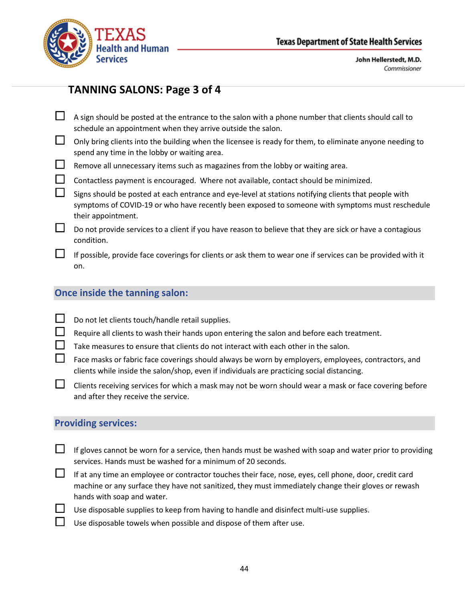

# **TANNING SALONS: Page 3 of 4**

- $\Box$  A sign should be posted at the entrance to the salon with a phone number that clients should call to schedule an appointment when they arrive outside the salon.
- $\Box$  Only bring clients into the building when the licensee is ready for them, to eliminate anyone needing to spend any time in the lobby or waiting area.
- $\Box$  Remove all unnecessary items such as magazines from the lobby or waiting area.
	- Contactless payment is encouraged. Where not available, contact should be minimized.
	- Signs should be posted at each entrance and eye-level at stations notifying clients that people with symptoms of COVID-19 or who have recently been exposed to someone with symptoms must reschedule their appointment.
- $\Box$  Do not provide services to a client if you have reason to believe that they are sick or have a contagious condition.
- $\Box$  If possible, provide face coverings for clients or ask them to wear one if services can be provided with it on.

## **Once inside the tanning salon:**

- $\Box$  Do not let clients touch/handle retail supplies.
	- Require all clients to wash their hands upon entering the salon and before each treatment.
- $\Box$  Take measures to ensure that clients do not interact with each other in the salon.
- Face masks or fabric face coverings should always be worn by employers, employees, contractors, and clients while inside the salon/shop, even if individuals are practicing social distancing.
- $\Box$  Clients receiving services for which a mask may not be worn should wear a mask or face covering before and after they receive the service.

## **Providing services:**

- $\Box$  If gloves cannot be worn for a service, then hands must be washed with soap and water prior to providing services. Hands must be washed for a minimum of 20 seconds.
- If at any time an employee or contractor touches their face, nose, eyes, cell phone, door, credit card machine or any surface they have not sanitized, they must immediately change their gloves or rewash hands with soap and water.
	- Use disposable supplies to keep from having to handle and disinfect multi-use supplies.
	- Use disposable towels when possible and dispose of them after use.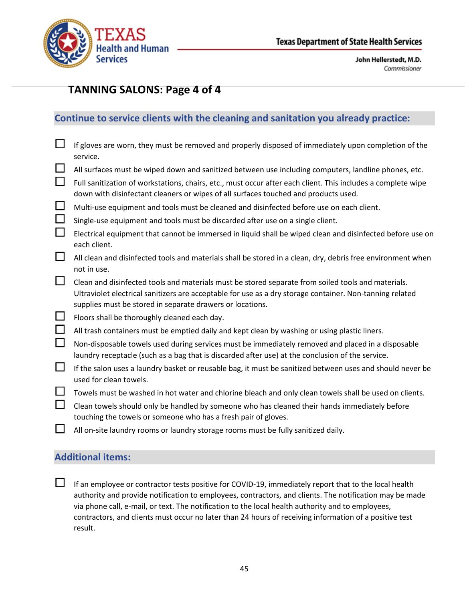

# **TANNING SALONS: Page 4 of 4**

## **Continue to service clients with the cleaning and sanitation you already practice:**

| $\Box$ | If gloves are worn, they must be removed and properly disposed of immediately upon completion of the<br>service.                                                                                      |
|--------|-------------------------------------------------------------------------------------------------------------------------------------------------------------------------------------------------------|
| $\Box$ | All surfaces must be wiped down and sanitized between use including computers, landline phones, etc.                                                                                                  |
| $\Box$ | Full sanitization of workstations, chairs, etc., must occur after each client. This includes a complete wipe<br>down with disinfectant cleaners or wipes of all surfaces touched and products used.   |
| $\Box$ | Multi-use equipment and tools must be cleaned and disinfected before use on each client.                                                                                                              |
| $\Box$ | Single-use equipment and tools must be discarded after use on a single client.                                                                                                                        |
| $\Box$ | Electrical equipment that cannot be immersed in liquid shall be wiped clean and disinfected before use on<br>each client.                                                                             |
| $\Box$ | All clean and disinfected tools and materials shall be stored in a clean, dry, debris free environment when<br>not in use.                                                                            |
| $\Box$ | Clean and disinfected tools and materials must be stored separate from soiled tools and materials.                                                                                                    |
|        | Ultraviolet electrical sanitizers are acceptable for use as a dry storage container. Non-tanning related<br>supplies must be stored in separate drawers or locations.                                 |
| Ш      | Floors shall be thoroughly cleaned each day.                                                                                                                                                          |
| $\Box$ | All trash containers must be emptied daily and kept clean by washing or using plastic liners.                                                                                                         |
| $\Box$ | Non-disposable towels used during services must be immediately removed and placed in a disposable<br>laundry receptacle (such as a bag that is discarded after use) at the conclusion of the service. |
| $\Box$ | If the salon uses a laundry basket or reusable bag, it must be sanitized between uses and should never be<br>used for clean towels.                                                                   |
| $\Box$ | Towels must be washed in hot water and chlorine bleach and only clean towels shall be used on clients.                                                                                                |
| $\Box$ | Clean towels should only be handled by someone who has cleaned their hands immediately before<br>touching the towels or someone who has a fresh pair of gloves.                                       |
| ⊔      | All on-site laundry rooms or laundry storage rooms must be fully sanitized daily.                                                                                                                     |

## **Additional items:**

 $\Box$  If an employee or contractor tests positive for COVID-19, immediately report that to the local health authority and provide notification to employees, contractors, and clients. The notification may be made via phone call, e-mail, or text. The notification to the local health authority and to employees, contractors, and clients must occur no later than 24 hours of receiving information of a positive test result.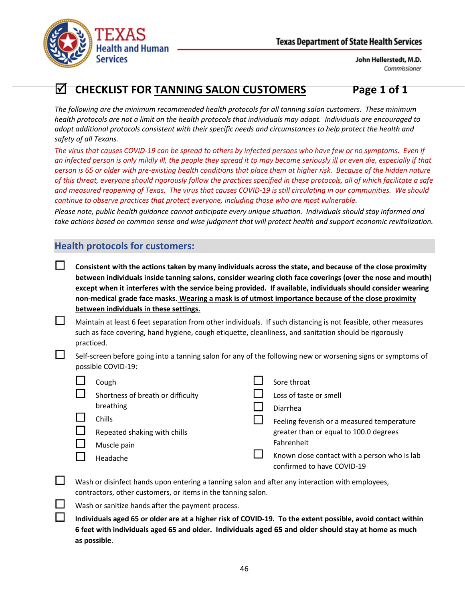

# **CHECKLIST FOR TANNING SALON CUSTOMERS Page 1 of 1**

*The following are the minimum recommended health protocols for all tanning salon customers. These minimum health protocols are not a limit on the health protocols that individuals may adopt. Individuals are encouraged to adopt additional protocols consistent with their specific needs and circumstances to help protect the health and safety of all Texans.*

*The virus that causes COVID-19 can be spread to others by infected persons who have few or no symptoms. Even if an infected person is only mildly ill, the people they spread it to may become seriously ill or even die, especially if that person is 65 or older with pre-existing health conditions that place them at higher risk. Because of the hidden nature of this threat, everyone should rigorously follow the practices specified in these protocols, all of which facilitate a safe and measured reopening of Texas. The virus that causes COVID-19 is still circulating in our communities. We should continue to observe practices that protect everyone, including those who are most vulnerable.*

*Please note, public health guidance cannot anticipate every unique situation. Individuals should stay informed and take actions based on common sense and wise judgment that will protect health and support economic revitalization.*

## **Health protocols for customers:**

- **Consistent with the actions taken by many individuals across the state, and because of the close proximity between individuals inside tanning salons, consider wearing cloth face coverings (over the nose and mouth) except when it interferes with the service being provided. If available, individuals should consider wearing non-medical grade face masks. Wearing a mask is of utmost importance because of the close proximity between individuals in these settings.**
- $\Box$  Maintain at least 6 feet separation from other individuals. If such distancing is not feasible, other measures such as face covering, hand hygiene, cough etiquette, cleanliness, and sanitation should be rigorously practiced.
- Self-screen before going into a tanning salon for any of the following new or worsening signs or symptoms of possible COVID-19:

| Cough                             | Sore throat                                                                |
|-----------------------------------|----------------------------------------------------------------------------|
| Shortness of breath or difficulty | Loss of taste or smell                                                     |
| breathing                         | Diarrhea                                                                   |
| Chills                            | Feeling feverish or a measured temperature                                 |
| Repeated shaking with chills      | greater than or equal to 100.0 degrees                                     |
| Muscle pain                       | Fahrenheit                                                                 |
| Headache                          | Known close contact with a person who is lab<br>confirmed to have COVID-19 |

- $\Box$  Wash or disinfect hands upon entering a tanning salon and after any interaction with employees, contractors, other customers, or items in the tanning salon.
	- Wash or sanitize hands after the payment process.
	- **Individuals aged 65 or older are at a higher risk of COVID-19. To the extent possible, avoid contact within 6 feet with individuals aged 65 and older. Individuals aged 65 and older should stay at home as much as possible**.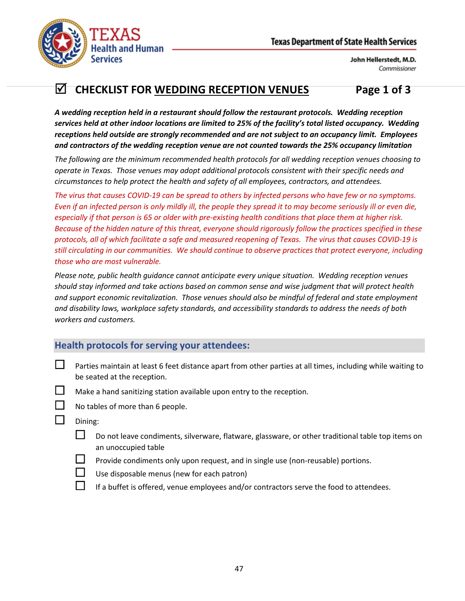

# **CHECKLIST FOR WEDDING RECEPTION VENUES Page 1 of 3**

*A wedding reception held in a restaurant should follow the restaurant protocols. Wedding reception services held at other indoor locations are limited to 25% of the facility's total listed occupancy. Wedding receptions held outside are strongly recommended and are not subject to an occupancy limit. Employees and contractors of the wedding reception venue are not counted towards the 25% occupancy limitation*

*The following are the minimum recommended health protocols for all wedding reception venues choosing to operate in Texas. Those venues may adopt additional protocols consistent with their specific needs and circumstances to help protect the health and safety of all employees, contractors, and attendees.*

*The virus that causes COVID-19 can be spread to others by infected persons who have few or no symptoms. Even if an infected person is only mildly ill, the people they spread it to may become seriously ill or even die, especially if that person is 65 or older with pre-existing health conditions that place them at higher risk. Because of the hidden nature of this threat, everyone should rigorously follow the practices specified in these protocols, all of which facilitate a safe and measured reopening of Texas. The virus that causes COVID-19 is still circulating in our communities. We should continue to observe practices that protect everyone, including those who are most vulnerable.*

*Please note, public health guidance cannot anticipate every unique situation. Wedding reception venues should stay informed and take actions based on common sense and wise judgment that will protect health and support economic revitalization. Those venues should also be mindful of federal and state employment and disability laws, workplace safety standards, and accessibility standards to address the needs of both workers and customers.*

## **Health protocols for serving your attendees:**

- **L** Parties maintain at least 6 feet distance apart from other parties at all times, including while waiting to be seated at the reception.
- $\Box$  Make a hand sanitizing station available upon entry to the reception.



- No tables of more than 6 people.
- $\Box$  Dining:
	- $\square$  Do not leave condiments, silverware, flatware, glassware, or other traditional table top items on an unoccupied table
		- Provide condiments only upon request, and in single use (non-reusable) portions.
	- $\Box$  Use disposable menus (new for each patron)
		- If a buffet is offered, venue employees and/or contractors serve the food to attendees.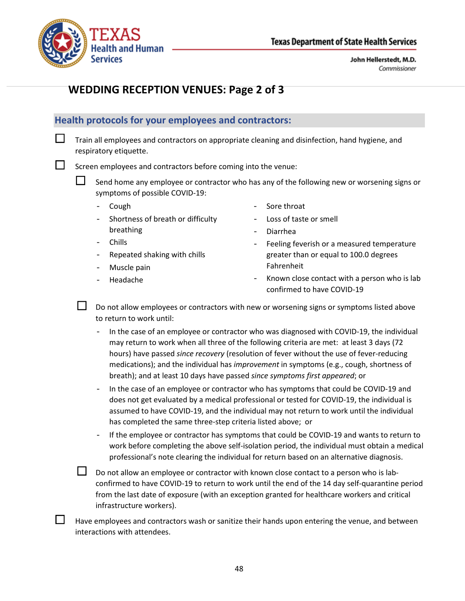

## **WEDDING RECEPTION VENUES: Page 2 of 3**

### **Health protocols for your employees and contractors:**

 $\Box$  Train all employees and contractors on appropriate cleaning and disinfection, hand hygiene, and respiratory etiquette.

Screen employees and contractors before coming into the venue:

 $\Box$  Send home any employee or contractor who has any of the following new or worsening signs or symptoms of possible COVID-19:

- Cough
- Shortness of breath or difficulty breathing
- Sore throat
- Loss of taste or smell
- Diarrhea
- Chills
- Repeated shaking with chills
- Muscle pain
- Headache

Fahrenheit Known close contact with a person who is lab confirmed to have COVID-19

Feeling feverish or a measured temperature greater than or equal to 100.0 degrees

 Do not allow employees or contractors with new or worsening signs or symptoms listed above to return to work until:

In the case of an employee or contractor who was diagnosed with COVID-19, the individual may return to work when all three of the following criteria are met: at least 3 days (72 hours) have passed *since recovery* (resolution of fever without the use of fever-reducing medications); and the individual has *improvement* in symptoms (e.g., cough, shortness of breath); and at least 10 days have passed *since symptoms first appeared*; or

- In the case of an employee or contractor who has symptoms that could be COVID-19 and does not get evaluated by a medical professional or tested for COVID-19, the individual is assumed to have COVID-19, and the individual may not return to work until the individual has completed the same three-step criteria listed above; or

- If the employee or contractor has symptoms that could be COVID-19 and wants to return to work before completing the above self-isolation period, the individual must obtain a medical professional's note clearing the individual for return based on an alternative diagnosis.

 Do not allow an employee or contractor with known close contact to a person who is labconfirmed to have COVID-19 to return to work until the end of the 14 day self-quarantine period from the last date of exposure (with an exception granted for healthcare workers and critical infrastructure workers).

 Have employees and contractors wash or sanitize their hands upon entering the venue, and between interactions with attendees.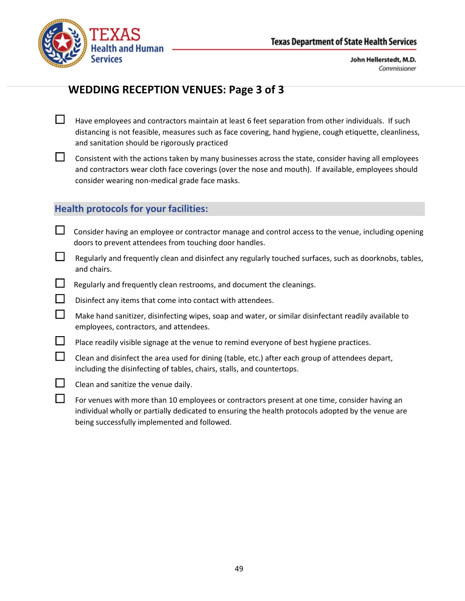



## **WEDDING RECEPTION VENUES: Page 3 of 3**

- $\Box$  Have employees and contractors maintain at least 6 feet separation from other individuals. If such distancing is not feasible, measures such as face covering, hand hygiene, cough etiquette, cleanliness, and sanitation should be rigorously practiced
- $\Box$  Consistent with the actions taken by many businesses across the state, consider having all employees and contractors wear cloth face coverings (over the nose and mouth). If available, employees should consider wearing non-medical grade face masks.

### **Health protocols for your facilities:**

- $\Box$  Consider having an employee or contractor manage and control access to the venue, including opening doors to prevent attendees from touching door handles.
- $\Box$  Regularly and frequently clean and disinfect any regularly touched surfaces, such as doorknobs, tables, and chairs.
- $\Box$  Regularly and frequently clean restrooms, and document the cleanings.
- $\square$  Disinfect any items that come into contact with attendees.
- $\Box$  Make hand sanitizer, disinfecting wipes, soap and water, or similar disinfectant readily available to employees, contractors, and attendees.
- $\Box$  Place readily visible signage at the venue to remind everyone of best hygiene practices.
- $\Box$  Clean and disinfect the area used for dining (table, etc.) after each group of attendees depart, including the disinfecting of tables, chairs, stalls, and countertops.
- $\Box$  Clean and sanitize the venue daily.
- $\Box$  For venues with more than 10 employees or contractors present at one time, consider having an individual wholly or partially dedicated to ensuring the health protocols adopted by the venue are being successfully implemented and followed.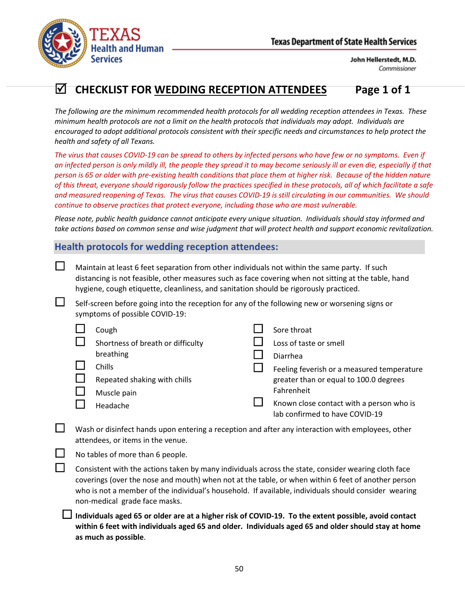

# **CHECKLIST FOR WEDDING RECEPTION ATTENDEES Page 1 of 1**

*The following are the minimum recommended health protocols for all wedding reception attendees in Texas. These minimum health protocols are not a limit on the health protocols that individuals may adopt. Individuals are encouraged to adopt additional protocols consistent with their specific needs and circumstances to help protect the health and safety of all Texans.*

*The virus that causes COVID-19 can be spread to others by infected persons who have few or no symptoms. Even if an infected person is only mildly ill, the people they spread it to may become seriously ill or even die, especially if that person is 65 or older with pre-existing health conditions that place them at higher risk. Because of the hidden nature of this threat, everyone should rigorously follow the practices specified in these protocols, all of which facilitate a safe and measured reopening of Texas. The virus that causes COVID-19 is still circulating in our communities. We should continue to observe practices that protect everyone, including those who are most vulnerable.*

*Please note, public health guidance cannot anticipate every unique situation. Individuals should stay informed and take actions based on common sense and wise judgment that will protect health and support economic revitalization.*

## **Health protocols for wedding reception attendees:**

 Maintain at least 6 feet separation from other individuals not within the same party. If such distancing is not feasible, other measures such as face covering when not sitting at the table, hand hygiene, cough etiquette, cleanliness, and sanitation should be rigorously practiced.

 $\Box$  Self-screen before going into the reception for any of the following new or worsening signs or symptoms of possible COVID-19:

| Cough                             | Sore throat                                                                |
|-----------------------------------|----------------------------------------------------------------------------|
| Shortness of breath or difficulty | Loss of taste or smell                                                     |
| breathing                         | Diarrhea                                                                   |
| Chills                            | Feeling feverish or a measured temperature                                 |
| Repeated shaking with chills      | greater than or equal to 100.0 degrees                                     |
| Muscle pain                       | Fahrenheit                                                                 |
| Headache                          | Known close contact with a person who is<br>lab confirmed to have COVID-19 |

 Wash or disinfect hands upon entering a reception and after any interaction with employees, other attendees, or items in the venue.

No tables of more than 6 people.

 Consistent with the actions taken by many individuals across the state, consider wearing cloth face coverings (over the nose and mouth) when not at the table, or when within 6 feet of another person who is not a member of the individual's household. If available, individuals should consider wearing non-medical grade face masks.

 **Individuals aged 65 or older are at a higher risk of COVID-19. To the extent possible, avoid contact within 6 feet with individuals aged 65 and older. Individuals aged 65 and older should stay at home as much as possible**.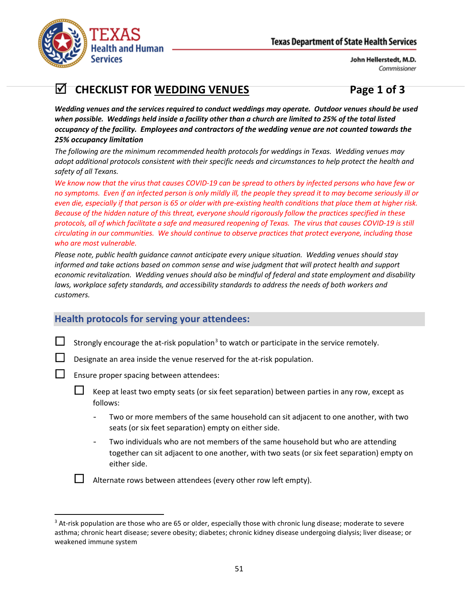

# **CHECKLIST FOR WEDDING VENUES Page 1 of 3**

*Wedding venues and the services required to conduct weddings may operate. Outdoor venues should be used when possible. Weddings held inside a facility other than a church are limited to 25% of the total listed occupancy of the facility. Employees and contractors of the wedding venue are not counted towards the 25% occupancy limitation*

*The following are the minimum recommended health protocols for weddings in Texas. Wedding venues may adopt additional protocols consistent with their specific needs and circumstances to help protect the health and safety of all Texans.* 

*We know now that the virus that causes COVID-19 can be spread to others by infected persons who have few or no symptoms. Even if an infected person is only mildly ill, the people they spread it to may become seriously ill or even die, especially if that person is 65 or older with pre-existing health conditions that place them at higher risk. Because of the hidden nature of this threat, everyone should rigorously follow the practices specified in these protocols, all of which facilitate a safe and measured reopening of Texas. The virus that causes COVID-19 is still circulating in our communities. We should continue to observe practices that protect everyone, including those who are most vulnerable.*

*Please note, public health guidance cannot anticipate every unique situation. Wedding venues should stay informed and take actions based on common sense and wise judgment that will protect health and support economic revitalization. Wedding venues should also be mindful of federal and state employment and disability*  laws, workplace safety standards, and accessibility standards to address the needs of both workers and *customers.*

## **Health protocols for serving your attendees:**

Strongly encourage the at-risk population<sup>[3](#page-50-0)</sup> to watch or participate in the service remotely.

Designate an area inside the venue reserved for the at-risk population.

Ensure proper spacing between attendees:

- Keep at least two empty seats (or six feet separation) between parties in any row, except as follows:
	- Two or more members of the same household can sit adjacent to one another, with two seats (or six feet separation) empty on either side.
	- Two individuals who are not members of the same household but who are attending together can sit adjacent to one another, with two seats (or six feet separation) empty on either side.

Alternate rows between attendees (every other row left empty).

<span id="page-50-0"></span><sup>&</sup>lt;sup>3</sup> At-risk population are those who are 65 or older, especially those with chronic lung disease; moderate to severe asthma; chronic heart disease; severe obesity; diabetes; chronic kidney disease undergoing dialysis; liver disease; or weakened immune system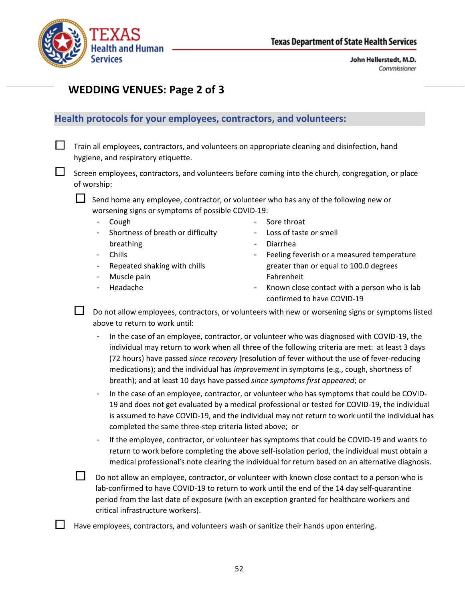

## **WEDDING VENUES: Page 2 of 3**

#### **Health protocols for your employees, contractors, and volunteers:**

 $\Box$  Train all employees, contractors, and volunteers on appropriate cleaning and disinfection, hand hygiene, and respiratory etiquette.

 $\Box$  Screen employees, contractors, and volunteers before coming into the church, congregation, or place of worship:

 $\Box$  Send home any employee, contractor, or volunteer who has any of the following new or worsening signs or symptoms of possible COVID-19:

- Cough
- Shortness of breath or difficulty breathing
- **Chills**
- Repeated shaking with chills
- Muscle pain
- Headache
- Sore throat
- Loss of taste or smell
- Diarrhea
- Feeling feverish or a measured temperature greater than or equal to 100.0 degrees Fahrenheit
- Known close contact with a person who is lab confirmed to have COVID-19

 Do not allow employees, contractors, or volunteers with new or worsening signs or symptoms listed above to return to work until:

- In the case of an employee, contractor, or volunteer who was diagnosed with COVID-19, the individual may return to work when all three of the following criteria are met: at least 3 days (72 hours) have passed *since recovery* (resolution of fever without the use of fever-reducing medications); and the individual has *improvement* in symptoms (e.g., cough, shortness of breath); and at least 10 days have passed *since symptoms first appeared*; or
- In the case of an employee, contractor, or volunteer who has symptoms that could be COVID-19 and does not get evaluated by a medical professional or tested for COVID-19, the individual is assumed to have COVID-19, and the individual may not return to work until the individual has completed the same three-step criteria listed above; or
- If the employee, contractor, or volunteer has symptoms that could be COVID-19 and wants to return to work before completing the above self-isolation period, the individual must obtain a medical professional's note clearing the individual for return based on an alternative diagnosis.

 $\square$  Do not allow an employee, contractor, or volunteer with known close contact to a person who is lab-confirmed to have COVID-19 to return to work until the end of the 14 day self-quarantine period from the last date of exposure (with an exception granted for healthcare workers and critical infrastructure workers).

Have employees, contractors, and volunteers wash or sanitize their hands upon entering.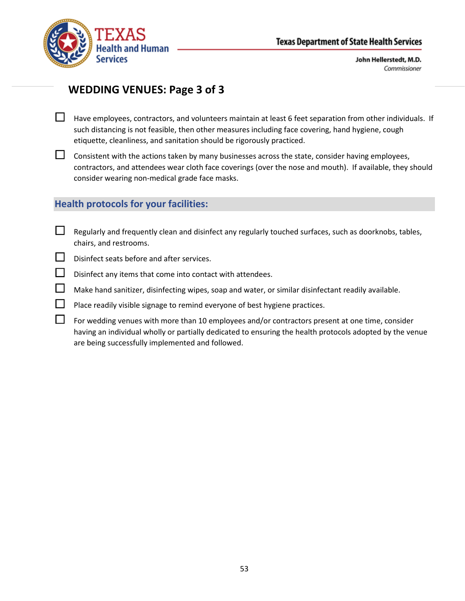

## **WEDDING VENUES: Page 3 of 3**

- $\Box$  Have employees, contractors, and volunteers maintain at least 6 feet separation from other individuals. If such distancing is not feasible, then other measures including face covering, hand hygiene, cough etiquette, cleanliness, and sanitation should be rigorously practiced.
- $\Box$  Consistent with the actions taken by many businesses across the state, consider having employees, contractors, and attendees wear cloth face coverings (over the nose and mouth). If available, they should consider wearing non-medical grade face masks.

### **Health protocols for your facilities:**

- $\Box$  Regularly and frequently clean and disinfect any regularly touched surfaces, such as doorknobs, tables, chairs, and restrooms.
- Disinfect seats before and after services.
- $\Box$  Disinfect any items that come into contact with attendees.
- $\Box$  Make hand sanitizer, disinfecting wipes, soap and water, or similar disinfectant readily available.
- $\Box$  Place readily visible signage to remind everyone of best hygiene practices.
- $\Box$  For wedding venues with more than 10 employees and/or contractors present at one time, consider having an individual wholly or partially dedicated to ensuring the health protocols adopted by the venue are being successfully implemented and followed.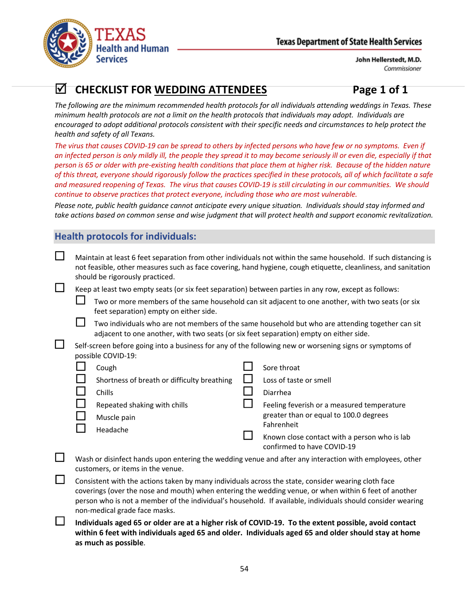

# **CHECKLIST FOR WEDDING ATTENDEES Page 1 of 1**

*The following are the minimum recommended health protocols for all individuals attending weddings in Texas. These minimum health protocols are not a limit on the health protocols that individuals may adopt. Individuals are encouraged to adopt additional protocols consistent with their specific needs and circumstances to help protect the health and safety of all Texans.*

*The virus that causes COVID-19 can be spread to others by infected persons who have few or no symptoms. Even if an infected person is only mildly ill, the people they spread it to may become seriously ill or even die, especially if that person is 65 or older with pre-existing health conditions that place them at higher risk. Because of the hidden nature of this threat, everyone should rigorously follow the practices specified in these protocols, all of which facilitate a safe and measured reopening of Texas. The virus that causes COVID-19 is still circulating in our communities. We should continue to observe practices that protect everyone, including those who are most vulnerable.*

*Please note, public health guidance cannot anticipate every unique situation. Individuals should stay informed and take actions based on common sense and wise judgment that will protect health and support economic revitalization.*

## **Health protocols for individuals:**

 $\Box$  Maintain at least 6 feet separation from other individuals not within the same household. If such distancing is not feasible, other measures such as face covering, hand hygiene, cough etiquette, cleanliness, and sanitation should be rigorously practiced.

 $\Box$  Keep at least two empty seats (or six feet separation) between parties in any row, except as follows:

 Two or more members of the same household can sit adjacent to one another, with two seats (or six feet separation) empty on either side.

 Two individuals who are not members of the same household but who are attending together can sit adjacent to one another, with two seats (or six feet separation) empty on either side.

 Self-screen before going into a business for any of the following new or worsening signs or symptoms of possible COVID-19:

| Cough                                       | Sore throat                                                                |
|---------------------------------------------|----------------------------------------------------------------------------|
| Shortness of breath or difficulty breathing | Loss of taste or smell                                                     |
| Chills                                      | Diarrhea                                                                   |
| Repeated shaking with chills                | Feeling feverish or a measured temperature                                 |
| Muscle pain                                 | greater than or equal to 100.0 degrees                                     |
| Headache                                    | Fahrenheit                                                                 |
|                                             | Known close contact with a person who is lab<br>confirmed to have COVID-19 |

 $\Box$  Wash or disinfect hands upon entering the wedding venue and after any interaction with employees, other customers, or items in the venue.

 $\Box$  Consistent with the actions taken by many individuals across the state, consider wearing cloth face coverings (over the nose and mouth) when entering the wedding venue, or when within 6 feet of another person who is not a member of the individual's household. If available, individuals should consider wearing non-medical grade face masks.

 **Individuals aged 65 or older are at a higher risk of COVID-19. To the extent possible, avoid contact within 6 feet with individuals aged 65 and older. Individuals aged 65 and older should stay at home as much as possible**.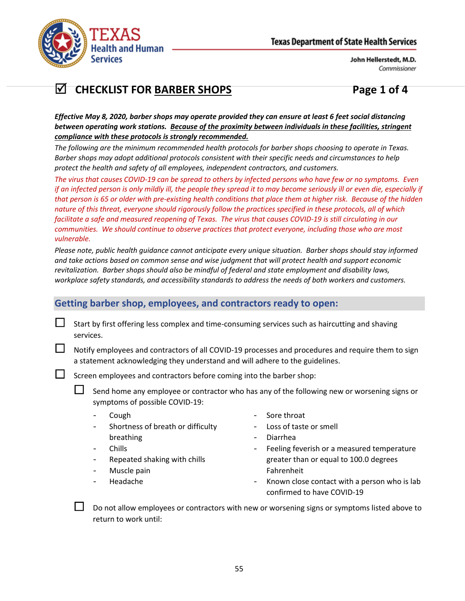

# **CHECKLIST FOR BARBER SHOPS Page 1 of 4**

*Effective May 8, 2020, barber shops may operate provided they can ensure at least 6 feet social distancing between operating work stations. Because of the proximity between individuals in these facilities, stringent compliance with these protocols is strongly recommended.*

*The following are the minimum recommended health protocols for barber shops choosing to operate in Texas. Barber shops may adopt additional protocols consistent with their specific needs and circumstances to help protect the health and safety of all employees, independent contractors, and customers.*

*The virus that causes COVID-19 can be spread to others by infected persons who have few or no symptoms. Even if an infected person is only mildly ill, the people they spread it to may become seriously ill or even die, especially if that person is 65 or older with pre-existing health conditions that place them at higher risk. Because of the hidden nature of this threat, everyone should rigorously follow the practices specified in these protocols, all of which facilitate a safe and measured reopening of Texas. The virus that causes COVID-19 is still circulating in our communities. We should continue to observe practices that protect everyone, including those who are most vulnerable.*

*Please note, public health guidance cannot anticipate every unique situation. Barber shops should stay informed and take actions based on common sense and wise judgment that will protect health and support economic revitalization. Barber shops should also be mindful of federal and state employment and disability laws, workplace safety standards, and accessibility standards to address the needs of both workers and customers.*

## **Getting barber shop, employees, and contractors ready to open:**

 Start by first offering less complex and time-consuming services such as haircutting and shaving services.

 Notify employees and contractors of all COVID-19 processes and procedures and require them to sign a statement acknowledging they understand and will adhere to the guidelines.

 $\Box$  Screen employees and contractors before coming into the barber shop:

 $\Box$  Send home any employee or contractor who has any of the following new or worsening signs or symptoms of possible COVID-19:

- Cough
- Shortness of breath or difficulty breathing
	- Chills
- Repeated shaking with chills
- Muscle pain
- Headache
- Sore throat
- Loss of taste or smell
- Diarrhea
- Feeling feverish or a measured temperature greater than or equal to 100.0 degrees Fahrenheit
- Known close contact with a person who is lab confirmed to have COVID-19

 Do not allow employees or contractors with new or worsening signs or symptoms listed above to return to work until: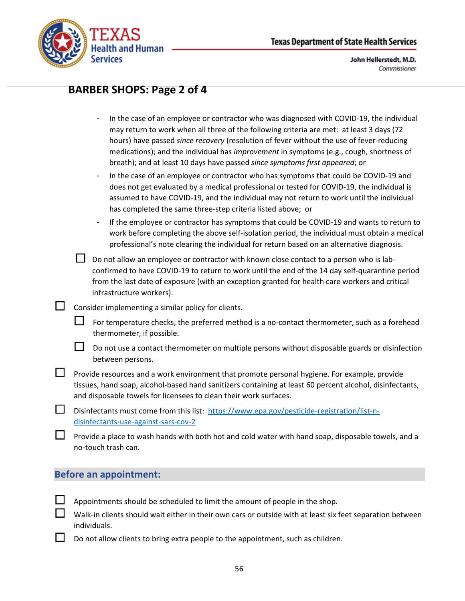

## **BARBER SHOPS: Page 2 of 4**

- In the case of an employee or contractor who was diagnosed with COVID-19, the individual may return to work when all three of the following criteria are met: at least 3 days (72 hours) have passed *since recovery* (resolution of fever without the use of fever-reducing medications); and the individual has *improvement* in symptoms (e.g., cough, shortness of breath); and at least 10 days have passed *since symptoms first appeared*; or
- In the case of an employee or contractor who has symptoms that could be COVID-19 and does not get evaluated by a medical professional or tested for COVID-19, the individual is assumed to have COVID-19, and the individual may not return to work until the individual has completed the same three-step criteria listed above; or
- If the employee or contractor has symptoms that could be COVID-19 and wants to return to work before completing the above self-isolation period, the individual must obtain a medical professional's note clearing the individual for return based on an alternative diagnosis.
- $\Box$  Do not allow an employee or contractor with known close contact to a person who is labconfirmed to have COVID-19 to return to work until the end of the 14 day self-quarantine period from the last date of exposure (with an exception granted for health care workers and critical infrastructure workers).
- $\Box$  Consider implementing a similar policy for clients.
	- $\Box$  For temperature checks, the preferred method is a no-contact thermometer, such as a forehead thermometer, if possible.
	- $\Box$  Do not use a contact thermometer on multiple persons without disposable guards or disinfection between persons.
- **LU** Provide resources and a work environment that promote personal hygiene. For example, provide tissues, hand soap, alcohol-based hand sanitizers containing at least 60 percent alcohol, disinfectants, and disposable towels for licensees to clean their work surfaces.
- Disinfectants must come from this list: [https://www.epa.gov/pesticide-registration/list-n](https://www.epa.gov/pesticide-registration/list-n-disinfectants-use-against-sars-cov-2)[disinfectants-use-against-sars-cov-2](https://www.epa.gov/pesticide-registration/list-n-disinfectants-use-against-sars-cov-2)
	- Provide a place to wash hands with both hot and cold water with hand soap, disposable towels, and a no-touch trash can.

#### **Before an appointment:**

- Appointments should be scheduled to limit the amount of people in the shop.
- Walk-in clients should wait either in their own cars or outside with at least six feet separation between individuals.
- Do not allow clients to bring extra people to the appointment, such as children.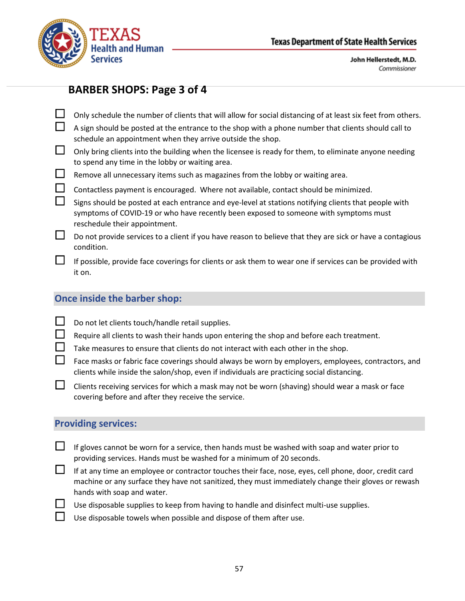

## **BARBER SHOPS: Page 3 of 4**

- Only schedule the number of clients that will allow for social distancing of at least six feet from others. A sign should be posted at the entrance to the shop with a phone number that clients should call to schedule an appointment when they arrive outside the shop.  $\Box$  Only bring clients into the building when the licensee is ready for them, to eliminate anyone needing to spend any time in the lobby or waiting area.  $\Box$  Remove all unnecessary items such as magazines from the lobby or waiting area.  $\Box$  Contactless payment is encouraged. Where not available, contact should be minimized.
- $\Box$  Signs should be posted at each entrance and eye-level at stations notifying clients that people with symptoms of COVID-19 or who have recently been exposed to someone with symptoms must reschedule their appointment.
- $\Box$  Do not provide services to a client if you have reason to believe that they are sick or have a contagious condition.
	- If possible, provide face coverings for clients or ask them to wear one if services can be provided with it on.

## **Once inside the barber shop:**

- $\Box$  Do not let clients touch/handle retail supplies.
	- Require all clients to wash their hands upon entering the shop and before each treatment.
	- Take measures to ensure that clients do not interact with each other in the shop.
- $\Box$  Face masks or fabric face coverings should always be worn by employers, employees, contractors, and clients while inside the salon/shop, even if individuals are practicing social distancing.
- $\Box$  Clients receiving services for which a mask may not be worn (shaving) should wear a mask or face covering before and after they receive the service.

## **Providing services:**

- $\Box$  If gloves cannot be worn for a service, then hands must be washed with soap and water prior to providing services. Hands must be washed for a minimum of 20 seconds.
- If at any time an employee or contractor touches their face, nose, eyes, cell phone, door, credit card machine or any surface they have not sanitized, they must immediately change their gloves or rewash hands with soap and water.
- $\Box$  Use disposable supplies to keep from having to handle and disinfect multi-use supplies.
	- Use disposable towels when possible and dispose of them after use.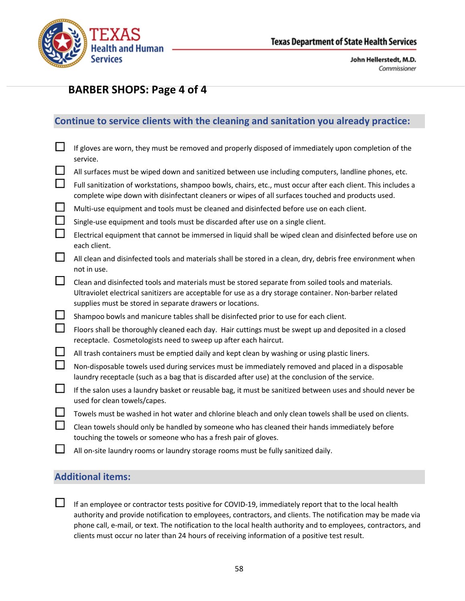

# **BARBER SHOPS: Page 4 of 4**

## **Continue to service clients with the cleaning and sanitation you already practice:**

|          | If gloves are worn, they must be removed and properly disposed of immediately upon completion of the<br>service.                                                                                                                                                           |
|----------|----------------------------------------------------------------------------------------------------------------------------------------------------------------------------------------------------------------------------------------------------------------------------|
| $\Box$   | All surfaces must be wiped down and sanitized between use including computers, landline phones, etc.                                                                                                                                                                       |
| $\Box$   | Full sanitization of workstations, shampoo bowls, chairs, etc., must occur after each client. This includes a<br>complete wipe down with disinfectant cleaners or wipes of all surfaces touched and products used.                                                         |
| $\sqcup$ | Multi-use equipment and tools must be cleaned and disinfected before use on each client.                                                                                                                                                                                   |
| $\Box$   | Single-use equipment and tools must be discarded after use on a single client.                                                                                                                                                                                             |
| $\Box$   | Electrical equipment that cannot be immersed in liquid shall be wiped clean and disinfected before use on<br>each client.                                                                                                                                                  |
| $\Box$   | All clean and disinfected tools and materials shall be stored in a clean, dry, debris free environment when<br>not in use.                                                                                                                                                 |
| ப        | Clean and disinfected tools and materials must be stored separate from soiled tools and materials.<br>Ultraviolet electrical sanitizers are acceptable for use as a dry storage container. Non-barber related<br>supplies must be stored in separate drawers or locations. |
| $\Box$   | Shampoo bowls and manicure tables shall be disinfected prior to use for each client.                                                                                                                                                                                       |
| $\Box$   | Floors shall be thoroughly cleaned each day. Hair cuttings must be swept up and deposited in a closed<br>receptacle. Cosmetologists need to sweep up after each haircut.                                                                                                   |
| ⊔        | All trash containers must be emptied daily and kept clean by washing or using plastic liners.                                                                                                                                                                              |
| $\Box$   | Non-disposable towels used during services must be immediately removed and placed in a disposable<br>laundry receptacle (such as a bag that is discarded after use) at the conclusion of the service.                                                                      |
| $\Box$   | If the salon uses a laundry basket or reusable bag, it must be sanitized between uses and should never be<br>used for clean towels/capes.                                                                                                                                  |
| ⊔        | Towels must be washed in hot water and chlorine bleach and only clean towels shall be used on clients.                                                                                                                                                                     |
| $\Box$   | Clean towels should only be handled by someone who has cleaned their hands immediately before<br>touching the towels or someone who has a fresh pair of gloves.                                                                                                            |
|          | All on-site laundry rooms or laundry storage rooms must be fully sanitized daily.                                                                                                                                                                                          |
|          |                                                                                                                                                                                                                                                                            |

## **Additional items:**

 $\Box$  If an employee or contractor tests positive for COVID-19, immediately report that to the local health authority and provide notification to employees, contractors, and clients. The notification may be made via phone call, e-mail, or text. The notification to the local health authority and to employees, contractors, and clients must occur no later than 24 hours of receiving information of a positive test result.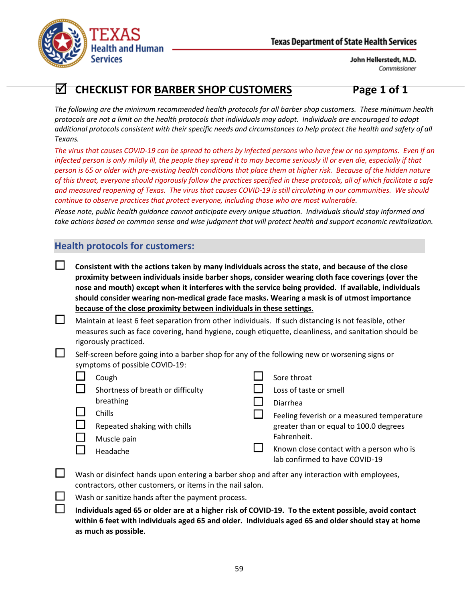

# **CHECKLIST FOR BARBER SHOP CUSTOMERS Page 1 of 1**

*The following are the minimum recommended health protocols for all barber shop customers. These minimum health protocols are not a limit on the health protocols that individuals may adopt. Individuals are encouraged to adopt additional protocols consistent with their specific needs and circumstances to help protect the health and safety of all Texans.*

*The virus that causes COVID-19 can be spread to others by infected persons who have few or no symptoms. Even if an infected person is only mildly ill, the people they spread it to may become seriously ill or even die, especially if that person is 65 or older with pre-existing health conditions that place them at higher risk. Because of the hidden nature of this threat, everyone should rigorously follow the practices specified in these protocols, all of which facilitate a safe and measured reopening of Texas. The virus that causes COVID-19 is still circulating in our communities. We should continue to observe practices that protect everyone, including those who are most vulnerable.*

*Please note, public health guidance cannot anticipate every unique situation. Individuals should stay informed and take actions based on common sense and wise judgment that will protect health and support economic revitalization.*

## **Health protocols for customers:**

- **Consistent with the actions taken by many individuals across the state, and because of the close proximity between individuals inside barber shops, consider wearing cloth face coverings (over the nose and mouth) except when it interferes with the service being provided. If available, individuals should consider wearing non-medical grade face masks. Wearing a mask is of utmost importance because of the close proximity between individuals in these settings.**
- $\Box$  Maintain at least 6 feet separation from other individuals. If such distancing is not feasible, other measures such as face covering, hand hygiene, cough etiquette, cleanliness, and sanitation should be rigorously practiced.
- $\Box$  Self-screen before going into a barber shop for any of the following new or worsening signs or symptoms of possible COVID-19:

| Cough                             | Sore throat                                |
|-----------------------------------|--------------------------------------------|
| Shortness of breath or difficulty | Loss of taste or smell                     |
| breathing                         | Diarrhea                                   |
| <b>Chills</b>                     | Feeling feverish or a measured temperature |
| Repeated shaking with chills      | greater than or equal to 100.0 degrees     |
| Muscle pain                       | Fahrenheit.                                |
| Headache                          | Known close contact with a person who is   |
|                                   | lab confirmed to have COVID-19             |

- $\Box$  Wash or disinfect hands upon entering a barber shop and after any interaction with employees, contractors, other customers, or items in the nail salon.
	- Wash or sanitize hands after the payment process.
	- **Individuals aged 65 or older are at a higher risk of COVID-19. To the extent possible, avoid contact within 6 feet with individuals aged 65 and older. Individuals aged 65 and older should stay at home as much as possible**.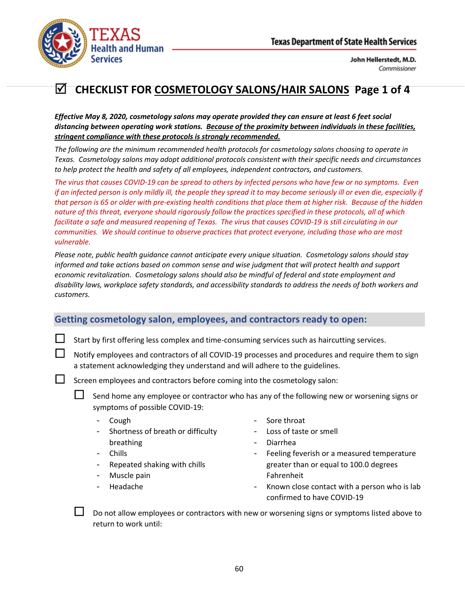

# **CHECKLIST FOR COSMETOLOGY SALONS/HAIR SALONS Page 1 of 4**

*Effective May 8, 2020, cosmetology salons may operate provided they can ensure at least 6 feet social distancing between operating work stations. Because of the proximity between individuals in these facilities, stringent compliance with these protocols is strongly recommended.*

*The following are the minimum recommended health protocols for cosmetology salons choosing to operate in Texas. Cosmetology salons may adopt additional protocols consistent with their specific needs and circumstances to help protect the health and safety of all employees, independent contractors, and customers.*

*The virus that causes COVID-19 can be spread to others by infected persons who have few or no symptoms. Even if an infected person is only mildly ill, the people they spread it to may become seriously ill or even die, especially if that person is 65 or older with pre-existing health conditions that place them at higher risk. Because of the hidden nature of this threat, everyone should rigorously follow the practices specified in these protocols, all of which facilitate a safe and measured reopening of Texas. The virus that causes COVID-19 is still circulating in our communities. We should continue to observe practices that protect everyone, including those who are most vulnerable.*

*Please note, public health guidance cannot anticipate every unique situation. Cosmetology salons should stay informed and take actions based on common sense and wise judgment that will protect health and support economic revitalization. Cosmetology salons should also be mindful of federal and state employment and disability laws, workplace safety standards, and accessibility standards to address the needs of both workers and customers.*

## **Getting cosmetology salon, employees, and contractors ready to open:**

Start by first offering less complex and time-consuming services such as haircutting services.

 Notify employees and contractors of all COVID-19 processes and procedures and require them to sign a statement acknowledging they understand and will adhere to the guidelines.

 $\Box$  Screen employees and contractors before coming into the cosmetology salon:

 Send home any employee or contractor who has any of the following new or worsening signs or symptoms of possible COVID-19:

- Cough
- Shortness of breath or difficulty breathing
- Chills
- Repeated shaking with chills
- Muscle pain
- Headache
- Sore throat
- Loss of taste or smell
- Diarrhea
- Feeling feverish or a measured temperature greater than or equal to 100.0 degrees Fahrenheit
- Known close contact with a person who is lab confirmed to have COVID-19

 Do not allow employees or contractors with new or worsening signs or symptoms listed above to return to work until: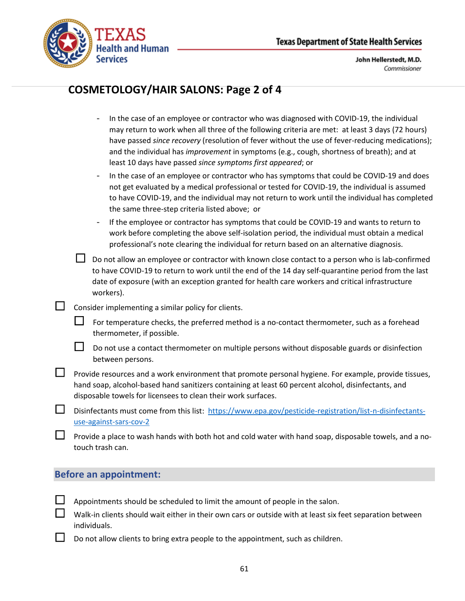

# **COSMETOLOGY/HAIR SALONS: Page 2 of 4**

- In the case of an employee or contractor who was diagnosed with COVID-19, the individual may return to work when all three of the following criteria are met: at least 3 days (72 hours) have passed *since recovery* (resolution of fever without the use of fever-reducing medications); and the individual has *improvement* in symptoms (e.g., cough, shortness of breath); and at least 10 days have passed *since symptoms first appeared*; or
- In the case of an employee or contractor who has symptoms that could be COVID-19 and does not get evaluated by a medical professional or tested for COVID-19, the individual is assumed to have COVID-19, and the individual may not return to work until the individual has completed the same three-step criteria listed above; or
- If the employee or contractor has symptoms that could be COVID-19 and wants to return to work before completing the above self-isolation period, the individual must obtain a medical professional's note clearing the individual for return based on an alternative diagnosis.
- $\Box$  Do not allow an employee or contractor with known close contact to a person who is lab-confirmed to have COVID-19 to return to work until the end of the 14 day self-quarantine period from the last date of exposure (with an exception granted for health care workers and critical infrastructure workers).
- $\Box$  Consider implementing a similar policy for clients.
	- $\Box$  For temperature checks, the preferred method is a no-contact thermometer, such as a forehead thermometer, if possible.
	- $\Box$  Do not use a contact thermometer on multiple persons without disposable guards or disinfection between persons.
- **LU** Provide resources and a work environment that promote personal hygiene. For example, provide tissues, hand soap, alcohol-based hand sanitizers containing at least 60 percent alcohol, disinfectants, and disposable towels for licensees to clean their work surfaces.
- Disinfectants must come from this list: [https://www.epa.gov/pesticide-registration/list-n-disinfectants](https://www.epa.gov/pesticide-registration/list-n-disinfectants-use-against-sars-cov-2)[use-against-sars-cov-2](https://www.epa.gov/pesticide-registration/list-n-disinfectants-use-against-sars-cov-2)
	- Provide a place to wash hands with both hot and cold water with hand soap, disposable towels, and a notouch trash can.

## **Before an appointment:**

- Appointments should be scheduled to limit the amount of people in the salon.
- Walk-in clients should wait either in their own cars or outside with at least six feet separation between individuals.
- Do not allow clients to bring extra people to the appointment, such as children.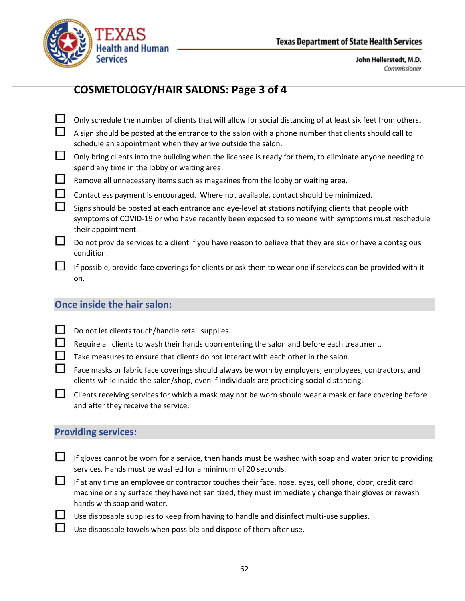

# **COSMETOLOGY/HAIR SALONS: Page 3 of 4**

|        | Only schedule the number of clients that will allow for social distancing of at least six feet from others.                                                                                                                   |
|--------|-------------------------------------------------------------------------------------------------------------------------------------------------------------------------------------------------------------------------------|
| $\Box$ | A sign should be posted at the entrance to the salon with a phone number that clients should call to<br>schedule an appointment when they arrive outside the salon.                                                           |
| $\Box$ | Only bring clients into the building when the licensee is ready for them, to eliminate anyone needing to<br>spend any time in the lobby or waiting area.                                                                      |
| $\Box$ | Remove all unnecessary items such as magazines from the lobby or waiting area.                                                                                                                                                |
| $\Box$ | Contactless payment is encouraged. Where not available, contact should be minimized.                                                                                                                                          |
| $\Box$ | Signs should be posted at each entrance and eye-level at stations notifying clients that people with<br>symptoms of COVID-19 or who have recently been exposed to someone with symptoms must reschedule<br>their appointment. |
| $\Box$ | Do not provide services to a client if you have reason to believe that they are sick or have a contagious<br>condition.                                                                                                       |
| $\Box$ | If possible, provide face coverings for clients or ask them to wear one if services can be provided with it<br>on.                                                                                                            |

## **Once inside the hair salon:**

- ot let clients touch/handle retail supplies.
- Require all clients to wash their hands upon entering the salon and before each treatment.
- Take measures to ensure that clients do not interact with each other in the salon.
- Face masks or fabric face coverings should always be worn by employers, employees, contractors, and clients while inside the salon/shop, even if individuals are practicing social distancing.
- $\Box$  Clients receiving services for which a mask may not be worn should wear a mask or face covering before and after they receive the service.

## **Providing services:**

- If gloves cannot be worn for a service, then hands must be washed with soap and water prior to providing services. Hands must be washed for a minimum of 20 seconds.
- If at any time an employee or contractor touches their face, nose, eyes, cell phone, door, credit card machine or any surface they have not sanitized, they must immediately change their gloves or rewash hands with soap and water.
	- Use disposable supplies to keep from having to handle and disinfect multi-use supplies.
	- Use disposable towels when possible and dispose of them after use.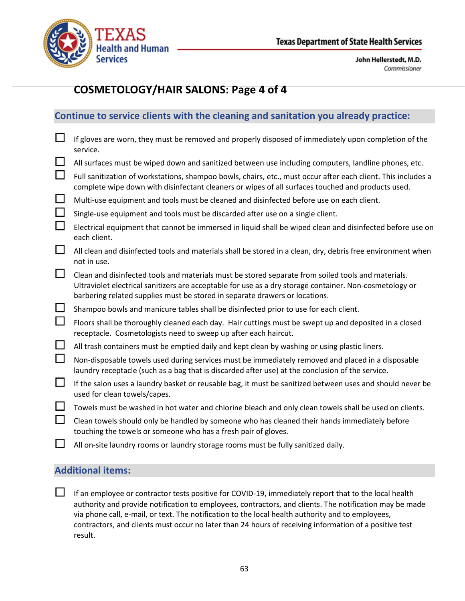

# **COSMETOLOGY/HAIR SALONS: Page 4 of 4**

|        | <b>NAC to believe enchire with the elemning and bannation you an easy proctice</b>                                                                                                                                                                                                           |
|--------|----------------------------------------------------------------------------------------------------------------------------------------------------------------------------------------------------------------------------------------------------------------------------------------------|
|        | If gloves are worn, they must be removed and properly disposed of immediately upon completion of the<br>service.                                                                                                                                                                             |
| ப      | All surfaces must be wiped down and sanitized between use including computers, landline phones, etc.                                                                                                                                                                                         |
| $\Box$ | Full sanitization of workstations, shampoo bowls, chairs, etc., must occur after each client. This includes a<br>complete wipe down with disinfectant cleaners or wipes of all surfaces touched and products used.                                                                           |
| $\Box$ | Multi-use equipment and tools must be cleaned and disinfected before use on each client.                                                                                                                                                                                                     |
| ப      | Single-use equipment and tools must be discarded after use on a single client.                                                                                                                                                                                                               |
| $\Box$ | Electrical equipment that cannot be immersed in liquid shall be wiped clean and disinfected before use on<br>each client.                                                                                                                                                                    |
| $\Box$ | All clean and disinfected tools and materials shall be stored in a clean, dry, debris free environment when<br>not in use.                                                                                                                                                                   |
| 凵      | Clean and disinfected tools and materials must be stored separate from soiled tools and materials.<br>Ultraviolet electrical sanitizers are acceptable for use as a dry storage container. Non-cosmetology or<br>barbering related supplies must be stored in separate drawers or locations. |
| ப      | Shampoo bowls and manicure tables shall be disinfected prior to use for each client.                                                                                                                                                                                                         |
| $\Box$ | Floors shall be thoroughly cleaned each day. Hair cuttings must be swept up and deposited in a closed<br>receptacle. Cosmetologists need to sweep up after each haircut.                                                                                                                     |
| $\Box$ | All trash containers must be emptied daily and kept clean by washing or using plastic liners.                                                                                                                                                                                                |
| $\Box$ | Non-disposable towels used during services must be immediately removed and placed in a disposable<br>laundry receptacle (such as a bag that is discarded after use) at the conclusion of the service.                                                                                        |
| $\Box$ | If the salon uses a laundry basket or reusable bag, it must be sanitized between uses and should never be<br>used for clean towels/capes.                                                                                                                                                    |
|        | Towels must be washed in hot water and chlorine bleach and only clean towels shall be used on clients.                                                                                                                                                                                       |
|        | Clean towels should only be handled by someone who has cleaned their hands immediately before<br>touching the towels or someone who has a fresh pair of gloves.                                                                                                                              |
|        | All on-site laundry rooms or laundry storage rooms must be fully sanitized daily.                                                                                                                                                                                                            |

**Continue to service clients with the cleaning and sanitation you already practice:**

## **Additional items:**

If an employee or contractor tests positive for COVID-19, immediately report that to the local health authority and provide notification to employees, contractors, and clients. The notification may be made via phone call, e-mail, or text. The notification to the local health authority and to employees, contractors, and clients must occur no later than 24 hours of receiving information of a positive test result.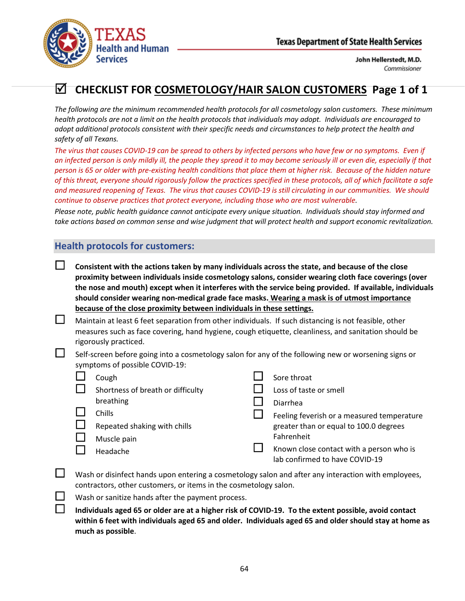

# **CHECKLIST FOR COSMETOLOGY/HAIR SALON CUSTOMERS Page 1 of 1**

*The following are the minimum recommended health protocols for all cosmetology salon customers. These minimum health protocols are not a limit on the health protocols that individuals may adopt. Individuals are encouraged to adopt additional protocols consistent with their specific needs and circumstances to help protect the health and safety of all Texans.*

*The virus that causes COVID-19 can be spread to others by infected persons who have few or no symptoms. Even if an infected person is only mildly ill, the people they spread it to may become seriously ill or even die, especially if that person is 65 or older with pre-existing health conditions that place them at higher risk. Because of the hidden nature of this threat, everyone should rigorously follow the practices specified in these protocols, all of which facilitate a safe and measured reopening of Texas. The virus that causes COVID-19 is still circulating in our communities. We should continue to observe practices that protect everyone, including those who are most vulnerable.*

*Please note, public health guidance cannot anticipate every unique situation. Individuals should stay informed and take actions based on common sense and wise judgment that will protect health and support economic revitalization.*

## **Health protocols for customers:**

- **Consistent with the actions taken by many individuals across the state, and because of the close proximity between individuals inside cosmetology salons, consider wearing cloth face coverings (over the nose and mouth) except when it interferes with the service being provided. If available, individuals should consider wearing non-medical grade face masks. Wearing a mask is of utmost importance because of the close proximity between individuals in these settings.**
- $\Box$  Maintain at least 6 feet separation from other individuals. If such distancing is not feasible, other measures such as face covering, hand hygiene, cough etiquette, cleanliness, and sanitation should be rigorously practiced.
- Self-screen before going into a cosmetology salon for any of the following new or worsening signs or symptoms of possible COVID-19:

| Cough                             | Sore throat                                |
|-----------------------------------|--------------------------------------------|
| Shortness of breath or difficulty | Loss of taste or smell                     |
| breathing                         | Diarrhea                                   |
| <b>Chills</b>                     | Feeling feverish or a measured temperature |
| Repeated shaking with chills      | greater than or equal to 100.0 degrees     |
| Muscle pain                       | Fahrenheit                                 |
| Headache                          | Known close contact with a person who is   |
|                                   | lab confirmed to have COVID-19             |

- $\Box$  Wash or disinfect hands upon entering a cosmetology salon and after any interaction with employees, contractors, other customers, or items in the cosmetology salon.
	- Wash or sanitize hands after the payment process.
	- **Individuals aged 65 or older are at a higher risk of COVID-19. To the extent possible, avoid contact within 6 feet with individuals aged 65 and older. Individuals aged 65 and older should stay at home as much as possible**.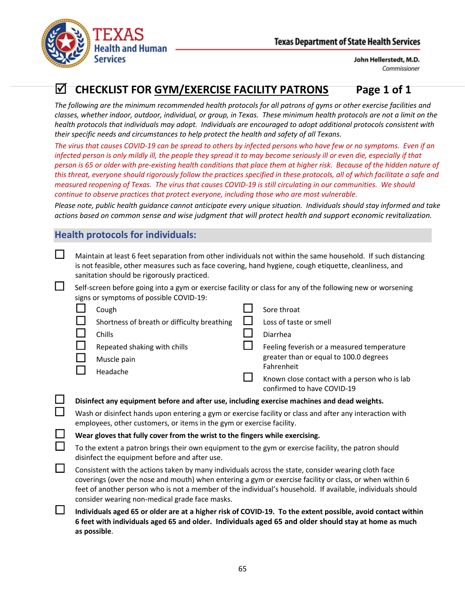



# **CHECKLIST FOR GYM/EXERCISE FACILITY PATRONS Page 1 of 1**

*The following are the minimum recommended health protocols for all patrons of gyms or other exercise facilities and classes, whether indoor, outdoor, individual, or group, in Texas. These minimum health protocols are not a limit on the health protocols that individuals may adopt. Individuals are encouraged to adopt additional protocols consistent with their specific needs and circumstances to help protect the health and safety of all Texans.*

*The virus that causes COVID-19 can be spread to others by infected persons who have few or no symptoms. Even if an*  infected person is only mildly ill, the people they spread it to may become seriously ill or even die, especially if that *person is 65 or older with pre-existing health conditions that place them at higher risk. Because of the hidden nature of this threat, everyone should rigorously follow the practices specified in these protocols, all of which facilitate a safe and measured reopening of Texas. The virus that causes COVID-19 is still circulating in our communities. We should continue to observe practices that protect everyone, including those who are most vulnerable.*

*Please note, public health guidance cannot anticipate every unique situation. Individuals should stay informed and take actions based on common sense and wise judgment that will protect health and support economic revitalization.*

## **Health protocols for individuals:**

| Maintain at least 6 feet separation from other individuals not within the same household. If such distancing<br>is not feasible, other measures such as face covering, hand hygiene, cough etiquette, cleanliness, and<br>sanitation should be rigorously practiced.<br>Self-screen before going into a gym or exercise facility or class for any of the following new or worsening<br>signs or symptoms of possible COVID-19: |  |                                                                                      |  |  |
|--------------------------------------------------------------------------------------------------------------------------------------------------------------------------------------------------------------------------------------------------------------------------------------------------------------------------------------------------------------------------------------------------------------------------------|--|--------------------------------------------------------------------------------------|--|--|
| $\mathbf{I}$<br>Cough                                                                                                                                                                                                                                                                                                                                                                                                          |  | Sore throat                                                                          |  |  |
| Shortness of breath or difficulty breathing                                                                                                                                                                                                                                                                                                                                                                                    |  | Loss of taste or smell                                                               |  |  |
| Chills                                                                                                                                                                                                                                                                                                                                                                                                                         |  | Diarrhea                                                                             |  |  |
| Repeated shaking with chills<br>Muscle pain                                                                                                                                                                                                                                                                                                                                                                                    |  | Feeling feverish or a measured temperature<br>greater than or equal to 100.0 degrees |  |  |
| Headache                                                                                                                                                                                                                                                                                                                                                                                                                       |  | Fahrenheit                                                                           |  |  |
|                                                                                                                                                                                                                                                                                                                                                                                                                                |  | Known close contact with a person who is lab<br>confirmed to have COVID-19           |  |  |
| Disinfect any equipment before and after use, including exercise machines and dead weights.                                                                                                                                                                                                                                                                                                                                    |  |                                                                                      |  |  |
| Wash or disinfect hands upon entering a gym or exercise facility or class and after any interaction with<br>employees, other customers, or items in the gym or exercise facility.                                                                                                                                                                                                                                              |  |                                                                                      |  |  |
| Wear gloves that fully cover from the wrist to the fingers while exercising.                                                                                                                                                                                                                                                                                                                                                   |  |                                                                                      |  |  |
| To the extent a patron brings their own equipment to the gym or exercise facility, the patron should<br>disinfect the equipment before and after use.                                                                                                                                                                                                                                                                          |  |                                                                                      |  |  |
| Consistent with the actions taken by many individuals across the state, consider wearing cloth face<br>coverings (over the nose and mouth) when entering a gym or exercise facility or class, or when within 6<br>feet of another person who is not a member of the individual's household. If available, individuals should<br>consider wearing non-medical grade face masks.                                                 |  |                                                                                      |  |  |
| Individuals aged 65 or older are at a higher risk of COVID-19. To the extent possible, avoid contact within<br>6 feet with individuals aged 65 and older. Individuals aged 65 and older should stay at home as much<br>as possible.                                                                                                                                                                                            |  |                                                                                      |  |  |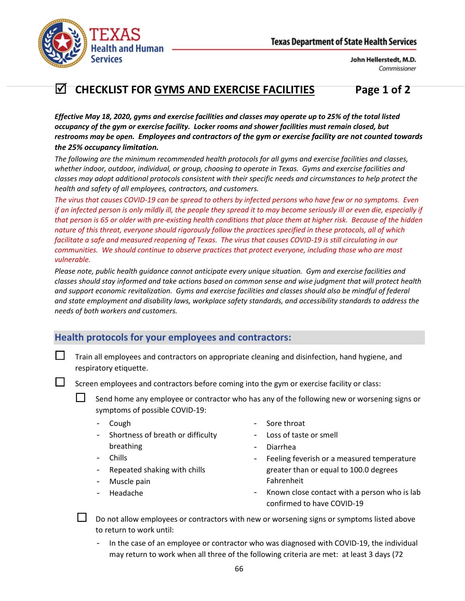

# **CHECKLIST FOR GYMS AND EXERCISE FACILITIES Page 1 of 2**

*Effective May 18, 2020, gyms and exercise facilities and classes may operate up to 25% of the total listed occupancy of the gym or exercise facility. Locker rooms and shower facilities must remain closed, but restrooms may be open. Employees and contractors of the gym or exercise facility are not counted towards the 25% occupancy limitation.*

*The following are the minimum recommended health protocols for all gyms and exercise facilities and classes, whether indoor, outdoor, individual, or group, choosing to operate in Texas. Gyms and exercise facilities and classes may adopt additional protocols consistent with their specific needs and circumstances to help protect the health and safety of all employees, contractors, and customers.*

*The virus that causes COVID-19 can be spread to others by infected persons who have few or no symptoms. Even if an infected person is only mildly ill, the people they spread it to may become seriously ill or even die, especially if that person is 65 or older with pre-existing health conditions that place them at higher risk. Because of the hidden nature of this threat, everyone should rigorously follow the practices specified in these protocols, all of which facilitate a safe and measured reopening of Texas. The virus that causes COVID-19 is still circulating in our communities. We should continue to observe practices that protect everyone, including those who are most vulnerable.*

*Please note, public health guidance cannot anticipate every unique situation. Gym and exercise facilities and classes should stay informed and take actions based on common sense and wise judgment that will protect health and support economic revitalization. Gyms and exercise facilities and classes should also be mindful of federal and state employment and disability laws, workplace safety standards, and accessibility standards to address the needs of both workers and customers.*

## **Health protocols for your employees and contractors:**

 Train all employees and contractors on appropriate cleaning and disinfection, hand hygiene, and respiratory etiquette.

Screen employees and contractors before coming into the gym or exercise facility or class:

 Send home any employee or contractor who has any of the following new or worsening signs or symptoms of possible COVID-19:

- Cough
- Shortness of breath or difficulty breathing
- Chills
- Repeated shaking with chills
- Muscle pain
- Headache
- Sore throat
- Loss of taste or smell
- Diarrhea
- Feeling feverish or a measured temperature greater than or equal to 100.0 degrees Fahrenheit
- Known close contact with a person who is lab confirmed to have COVID-19

 Do not allow employees or contractors with new or worsening signs or symptoms listed above to return to work until:

In the case of an employee or contractor who was diagnosed with COVID-19, the individual may return to work when all three of the following criteria are met: at least 3 days (72